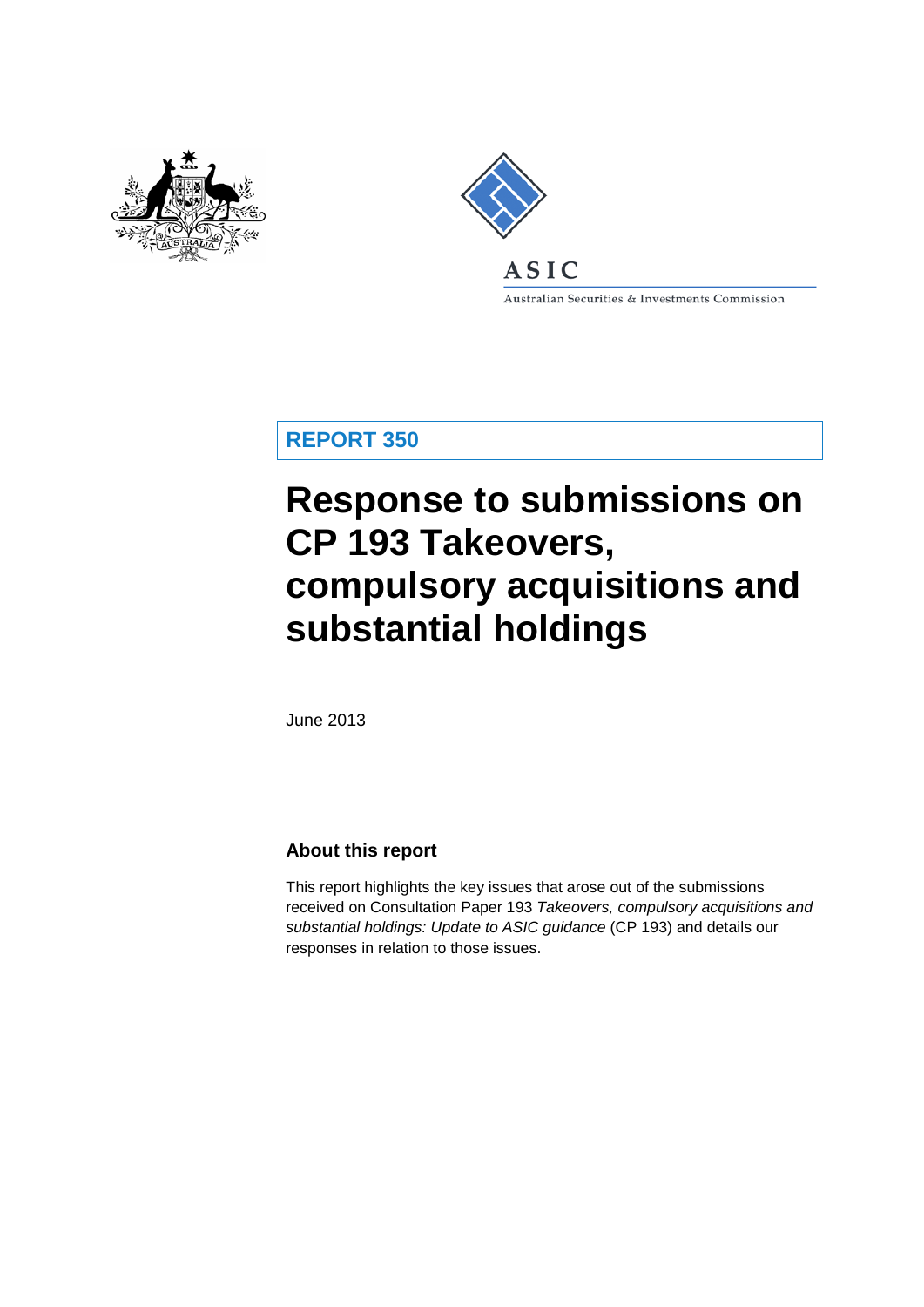



Australian Securities & Investments Commission

**REPORT 350**

# **Response to submissions on CP 193 Takeovers, compulsory acquisitions and substantial holdings**

June 2013

## **About this report**

This report highlights the key issues that arose out of the submissions received on Consultation Paper 193 *Takeovers, compulsory acquisitions and substantial holdings: Update to ASIC guidance* (CP 193) and details our responses in relation to those issues.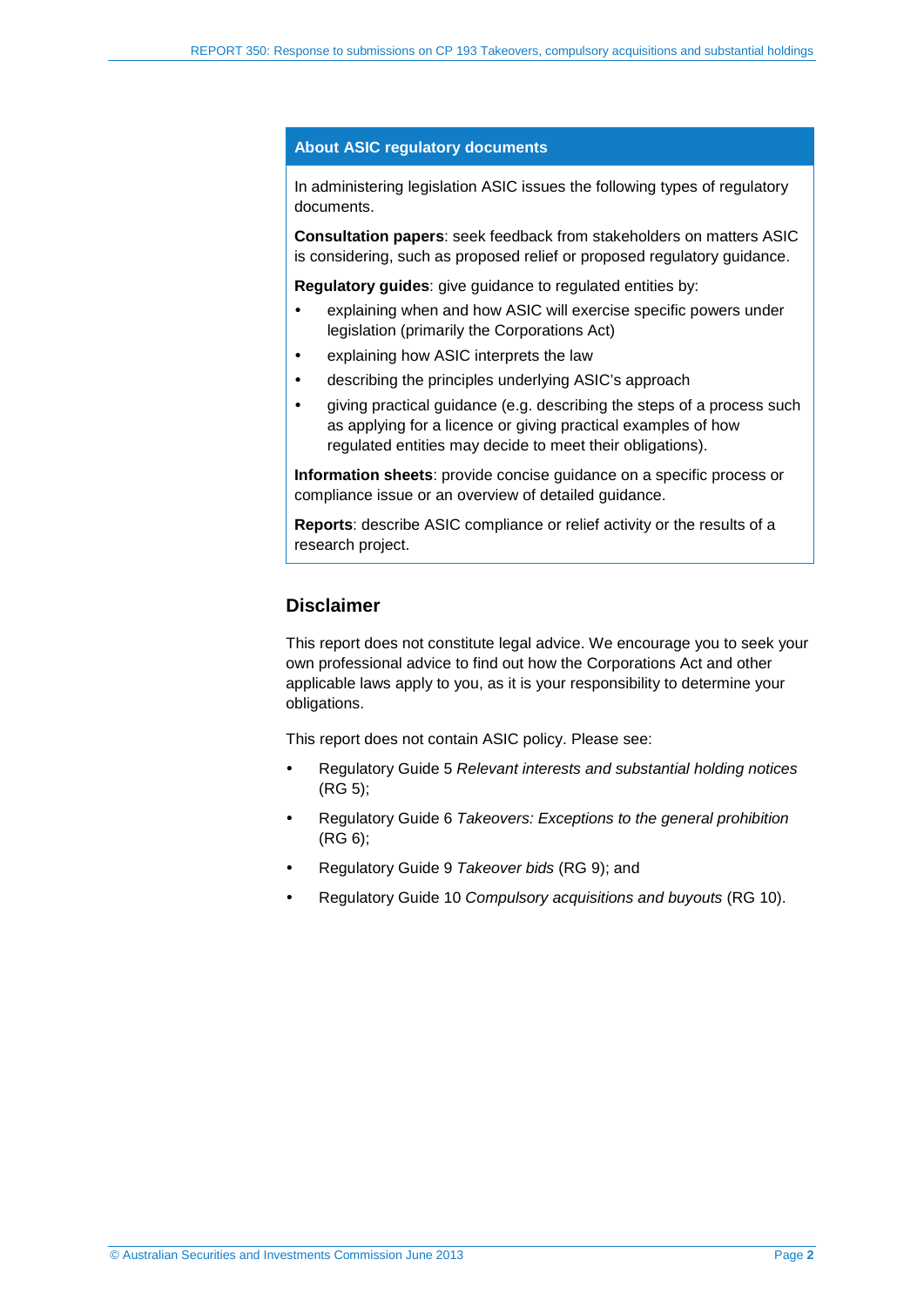#### **About ASIC regulatory documents**

In administering legislation ASIC issues the following types of regulatory documents.

**Consultation papers**: seek feedback from stakeholders on matters ASIC is considering, such as proposed relief or proposed regulatory guidance.

**Regulatory guides**: give guidance to regulated entities by:

- explaining when and how ASIC will exercise specific powers under legislation (primarily the Corporations Act)
- explaining how ASIC interprets the law
- describing the principles underlying ASIC's approach
- giving practical guidance (e.g. describing the steps of a process such as applying for a licence or giving practical examples of how regulated entities may decide to meet their obligations).

**Information sheets**: provide concise guidance on a specific process or compliance issue or an overview of detailed guidance.

**Reports**: describe ASIC compliance or relief activity or the results of a research project.

### **Disclaimer**

This report does not constitute legal advice. We encourage you to seek your own professional advice to find out how the Corporations Act and other applicable laws apply to you, as it is your responsibility to determine your obligations.

This report does not contain ASIC policy. Please see:

- Regulatory Guide 5 *Relevant interests and substantial holding notices* (RG 5);
- Regulatory Guide 6 *Takeovers: Exceptions to the general prohibition*  (RG 6);
- Regulatory Guide 9 *Takeover bids* (RG 9); and
- Regulatory Guide 10 *Compulsory acquisitions and buyouts* (RG 10).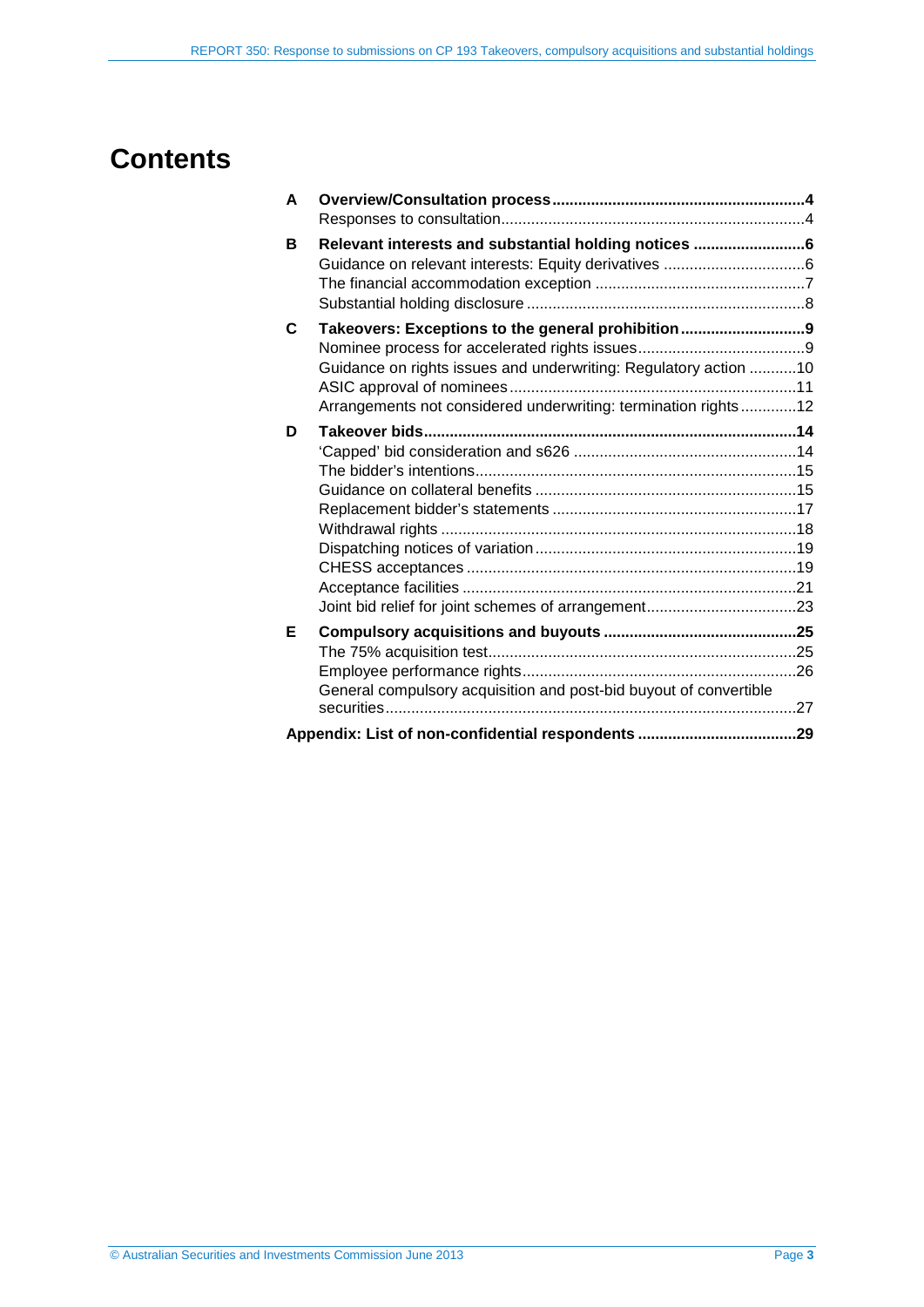## **Contents**

| A |                                                                   |  |
|---|-------------------------------------------------------------------|--|
|   |                                                                   |  |
| B | Relevant interests and substantial holding notices 6              |  |
|   |                                                                   |  |
|   |                                                                   |  |
|   |                                                                   |  |
| C | Takeovers: Exceptions to the general prohibition9                 |  |
|   |                                                                   |  |
|   | Guidance on rights issues and underwriting: Regulatory action 10  |  |
|   |                                                                   |  |
|   | Arrangements not considered underwriting: termination rights12    |  |
| D |                                                                   |  |
|   |                                                                   |  |
|   |                                                                   |  |
|   |                                                                   |  |
|   |                                                                   |  |
|   |                                                                   |  |
|   |                                                                   |  |
|   |                                                                   |  |
|   |                                                                   |  |
|   |                                                                   |  |
| Е |                                                                   |  |
|   |                                                                   |  |
|   |                                                                   |  |
|   | General compulsory acquisition and post-bid buyout of convertible |  |
|   |                                                                   |  |
|   |                                                                   |  |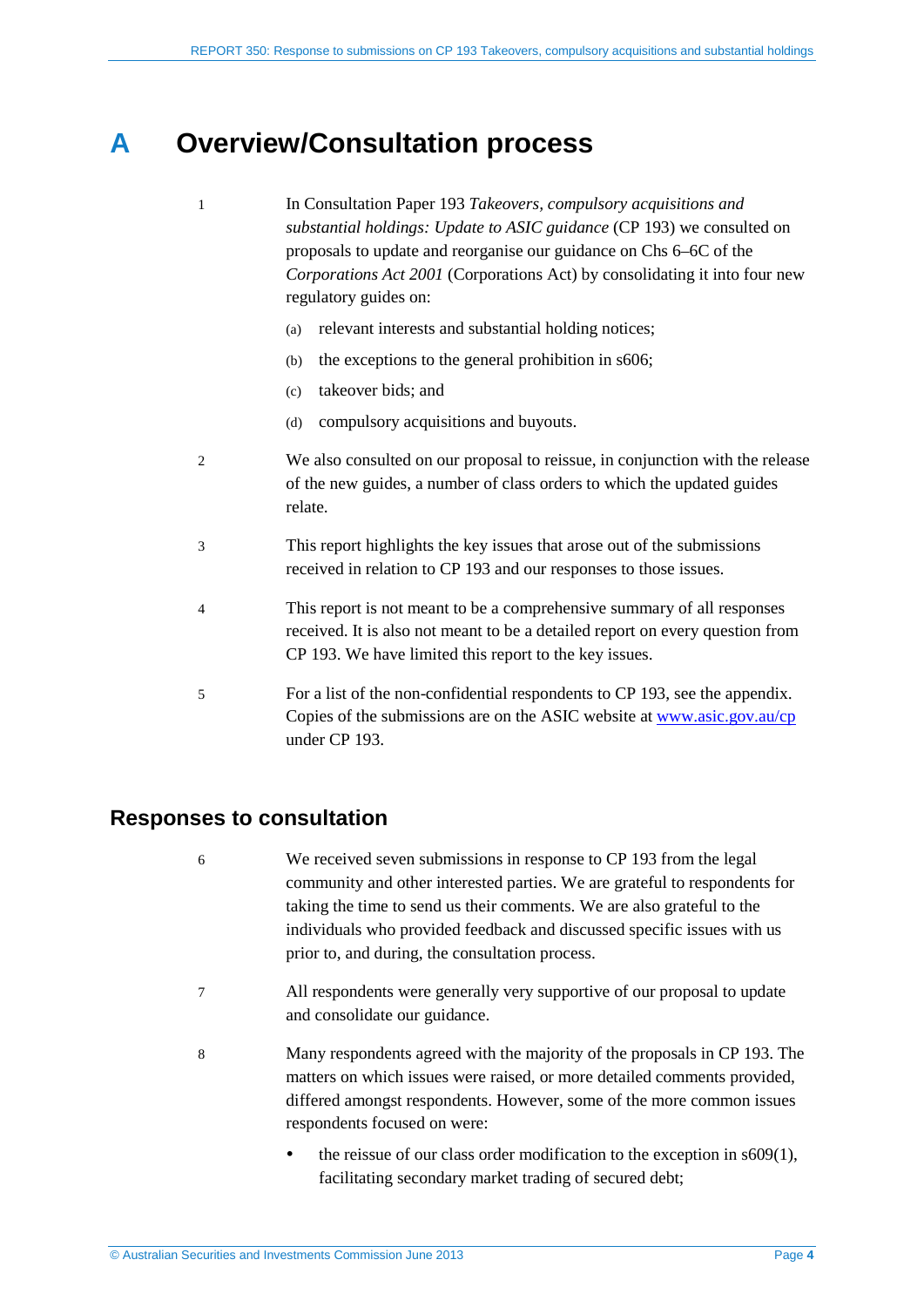## <span id="page-3-0"></span>**A Overview/Consultation process**

- 1 In Consultation Paper 193 *Takeovers, compulsory acquisitions and substantial holdings: Update to ASIC guidance* (CP 193) we consulted on proposals to update and reorganise our guidance on Chs 6–6C of the *Corporations Act 2001* (Corporations Act) by consolidating it into four new regulatory guides on:
	- (a) relevant interests and substantial holding notices;
	- (b) the exceptions to the general prohibition in s606;
	- (c) takeover bids; and
	- (d) compulsory acquisitions and buyouts.
- 2 We also consulted on our proposal to reissue, in conjunction with the release of the new guides, a number of class orders to which the updated guides relate.
- 3 This report highlights the key issues that arose out of the submissions received in relation to CP 193 and our responses to those issues.
- 4 This report is not meant to be a comprehensive summary of all responses received. It is also not meant to be a detailed report on every question from CP 193. We have limited this report to the key issues.
- 5 For a list of the non-confidential respondents to CP 193, see the appendix. Copies of the submissions are on the ASIC website at [www.asic.gov.au/cp](http://www.asic.gov.au/cp) under CP 193.

## <span id="page-3-1"></span>**Responses to consultation**

- 6 We received seven submissions in response to CP 193 from the legal community and other interested parties. We are grateful to respondents for taking the time to send us their comments. We are also grateful to the individuals who provided feedback and discussed specific issues with us prior to, and during, the consultation process.
- 7 All respondents were generally very supportive of our proposal to update and consolidate our guidance.
- 8 Many respondents agreed with the majority of the proposals in CP 193. The matters on which issues were raised, or more detailed comments provided, differed amongst respondents. However, some of the more common issues respondents focused on were:
	- $\bullet$  the reissue of our class order modification to the exception in s609(1), facilitating secondary market trading of secured debt;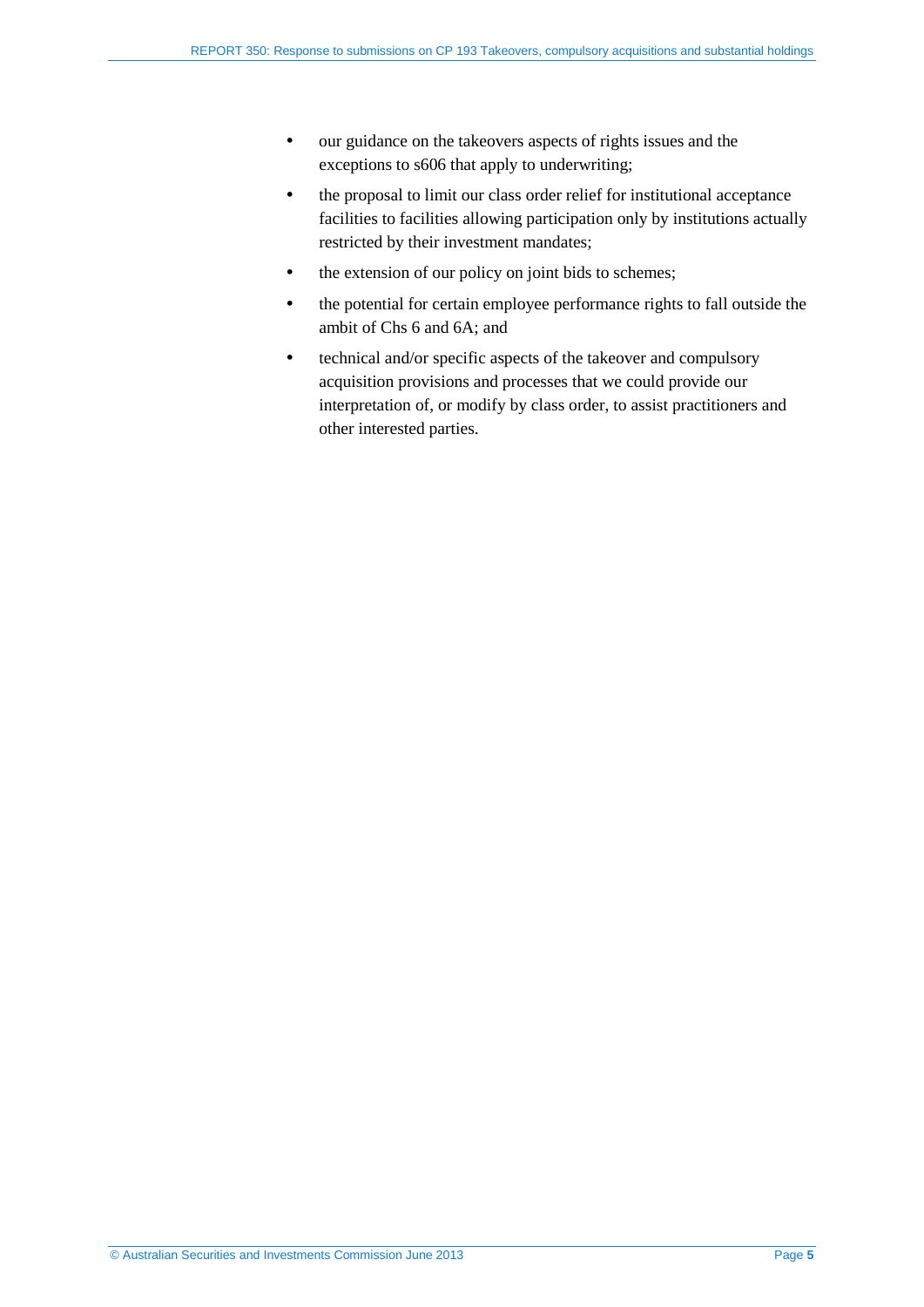- our guidance on the takeovers aspects of rights issues and the exceptions to s606 that apply to underwriting;
- the proposal to limit our class order relief for institutional acceptance facilities to facilities allowing participation only by institutions actually restricted by their investment mandates;
- the extension of our policy on joint bids to schemes;
- the potential for certain employee performance rights to fall outside the ambit of Chs 6 and 6A; and
- technical and/or specific aspects of the takeover and compulsory acquisition provisions and processes that we could provide our interpretation of, or modify by class order, to assist practitioners and other interested parties.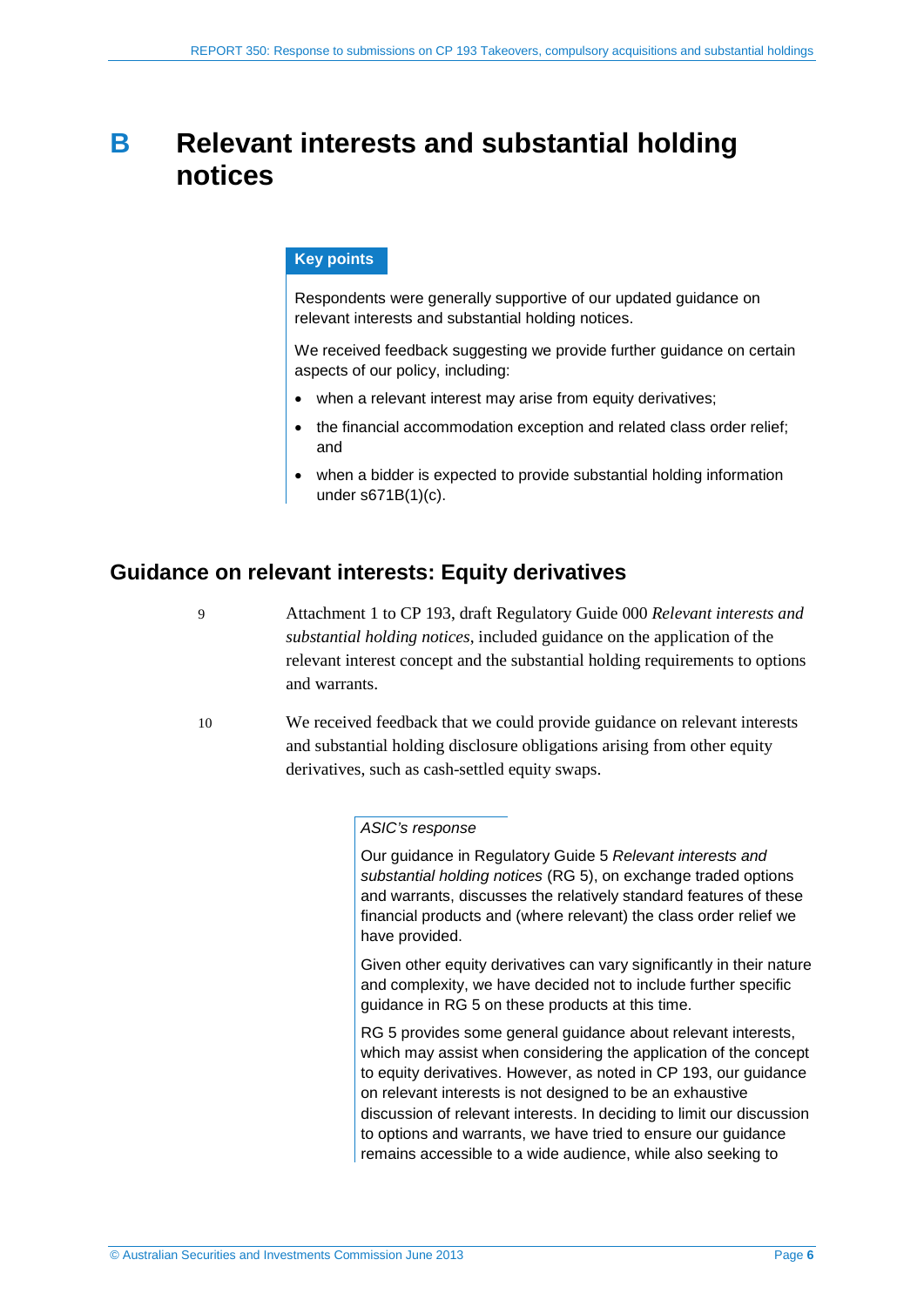## <span id="page-5-0"></span>**B Relevant interests and substantial holding notices**

#### **Key points**

Respondents were generally supportive of our updated guidance on relevant interests and substantial holding notices.

We received feedback suggesting we provide further guidance on certain aspects of our policy, including:

- when a relevant interest may arise from equity derivatives;
- the financial accommodation exception and related class order relief; and
- when a bidder is expected to provide substantial holding information under s671B(1)(c).

## <span id="page-5-1"></span>**Guidance on relevant interests: Equity derivatives**

9 Attachment 1 to CP 193, draft Regulatory Guide 000 *Relevant interests and substantial holding notices*, included guidance on the application of the relevant interest concept and the substantial holding requirements to options and warrants.

<span id="page-5-2"></span>10 We received feedback that we could provide guidance on relevant interests and substantial holding disclosure obligations arising from other equity derivatives, such as cash-settled equity swaps.

#### *ASIC's response*

Our guidance in Regulatory Guide 5 *Relevant interests and substantial holding notices* (RG 5), on exchange traded options and warrants, discusses the relatively standard features of these financial products and (where relevant) the class order relief we have provided.

Given other equity derivatives can vary significantly in their nature and complexity, we have decided not to include further specific guidance in RG 5 on these products at this time.

RG 5 provides some general guidance about relevant interests, which may assist when considering the application of the concept to equity derivatives. However, as noted in CP 193, our guidance on relevant interests is not designed to be an exhaustive discussion of relevant interests. In deciding to limit our discussion to options and warrants, we have tried to ensure our guidance remains accessible to a wide audience, while also seeking to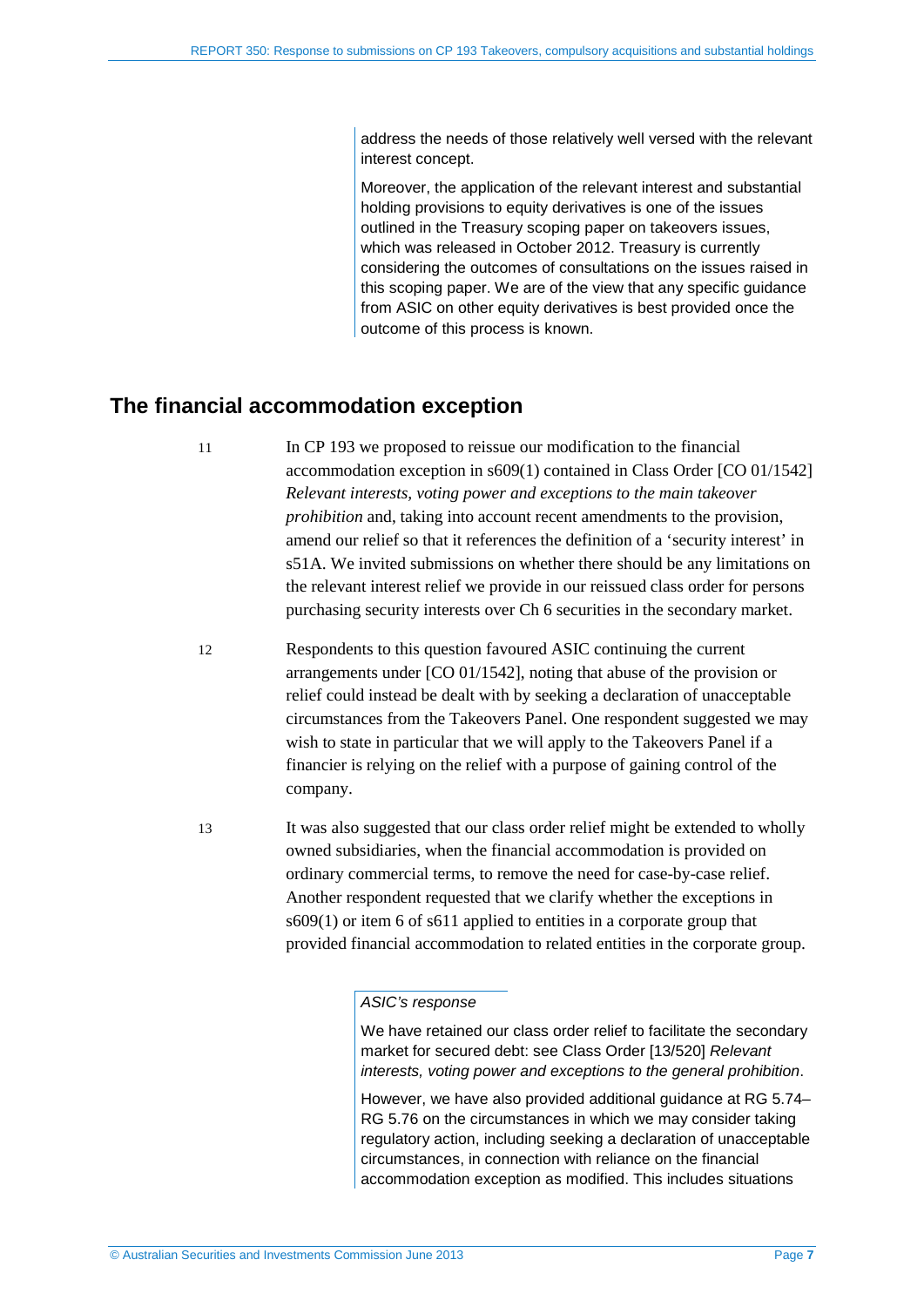address the needs of those relatively well versed with the relevant interest concept.

Moreover, the application of the relevant interest and substantial holding provisions to equity derivatives is one of the issues outlined in the Treasury scoping paper on takeovers issues, which was released in October 2012. Treasury is currently considering the outcomes of consultations on the issues raised in this scoping paper. We are of the view that any specific guidance from ASIC on other equity derivatives is best provided once the outcome of this process is known.

## <span id="page-6-0"></span>**The financial accommodation exception**

11 In CP 193 we proposed to reissue our modification to the financial accommodation exception in s609(1) contained in Class Order [CO 01/1542] *Relevant interests, voting power and exceptions to the main takeover prohibition* and, taking into account recent amendments to the provision, amend our relief so that it references the definition of a 'security interest' in s51A. We invited submissions on whether there should be any limitations on the relevant interest relief we provide in our reissued class order for persons purchasing security interests over Ch 6 securities in the secondary market.

- 12 Respondents to this question favoured ASIC continuing the current arrangements under [CO 01/1542], noting that abuse of the provision or relief could instead be dealt with by seeking a declaration of unacceptable circumstances from the Takeovers Panel. One respondent suggested we may wish to state in particular that we will apply to the Takeovers Panel if a financier is relying on the relief with a purpose of gaining control of the company.
- 13 It was also suggested that our class order relief might be extended to wholly owned subsidiaries, when the financial accommodation is provided on ordinary commercial terms, to remove the need for case-by-case relief. Another respondent requested that we clarify whether the exceptions in s609(1) or item 6 of s611 applied to entities in a corporate group that provided financial accommodation to related entities in the corporate group.

#### *ASIC's response*

We have retained our class order relief to facilitate the secondary market for secured debt: see Class Order [13/520] *Relevant interests, voting power and exceptions to the general prohibition*.

However, we have also provided additional guidance at RG 5.74– RG 5.76 on the circumstances in which we may consider taking regulatory action, including seeking a declaration of unacceptable circumstances, in connection with reliance on the financial accommodation exception as modified. This includes situations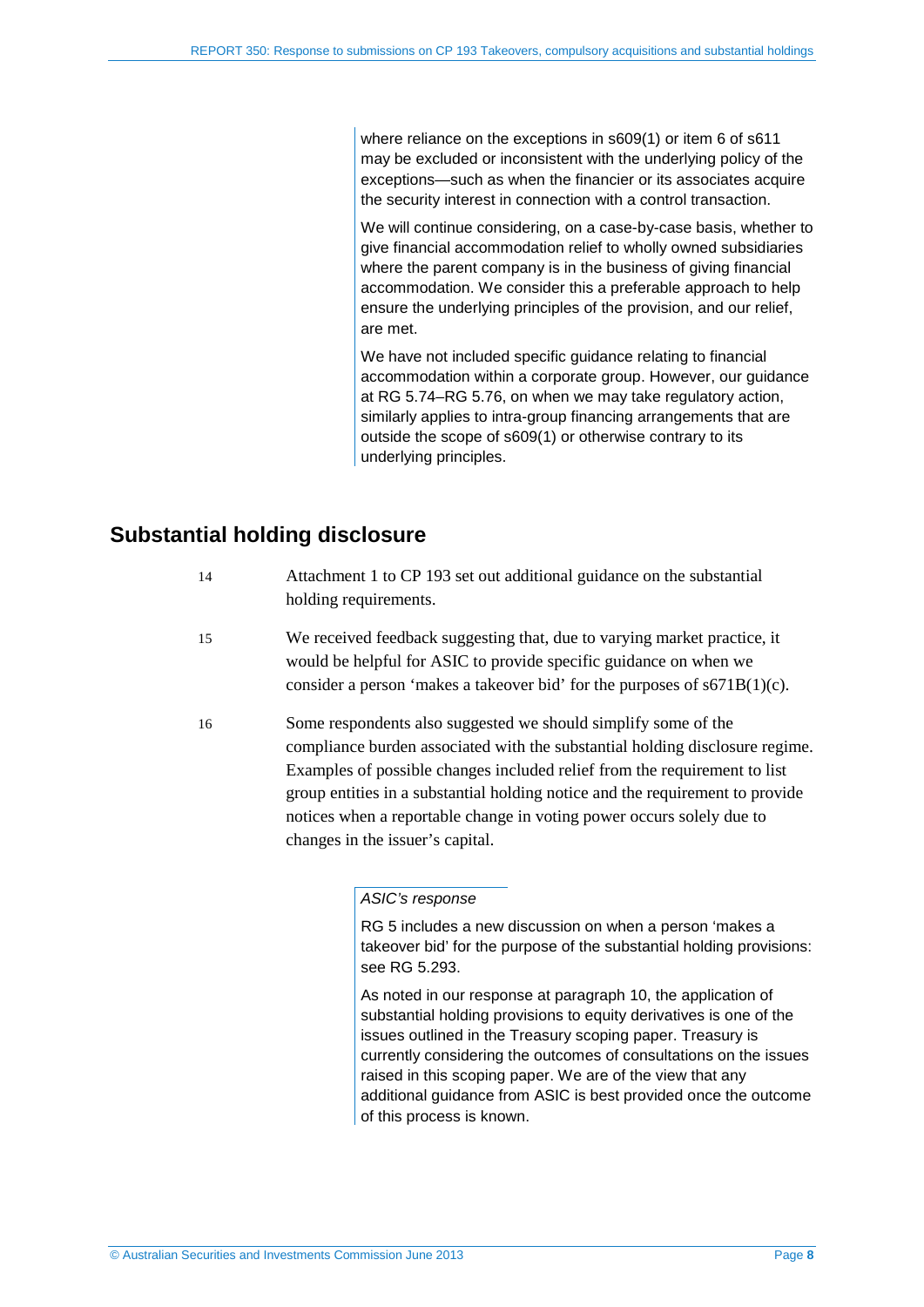where reliance on the exceptions in s609(1) or item 6 of s611 may be excluded or inconsistent with the underlying policy of the exceptions—such as when the financier or its associates acquire the security interest in connection with a control transaction.

We will continue considering, on a case-by-case basis, whether to give financial accommodation relief to wholly owned subsidiaries where the parent company is in the business of giving financial accommodation. We consider this a preferable approach to help ensure the underlying principles of the provision, and our relief, are met.

We have not included specific guidance relating to financial accommodation within a corporate group. However, our guidance at RG 5.74–RG 5.76, on when we may take regulatory action, similarly applies to intra-group financing arrangements that are outside the scope of s609(1) or otherwise contrary to its underlying principles.

## <span id="page-7-0"></span>**Substantial holding disclosure**

- 14 Attachment 1 to CP 193 set out additional guidance on the substantial holding requirements.
- 15 We received feedback suggesting that, due to varying market practice, it would be helpful for ASIC to provide specific guidance on when we consider a person 'makes a takeover bid' for the purposes of s671B(1)(c).
- 16 Some respondents also suggested we should simplify some of the compliance burden associated with the substantial holding disclosure regime. Examples of possible changes included relief from the requirement to list group entities in a substantial holding notice and the requirement to provide notices when a reportable change in voting power occurs solely due to changes in the issuer's capital.

#### *ASIC's response*

RG 5 includes a new discussion on when a person 'makes a takeover bid' for the purpose of the substantial holding provisions: see RG 5.293.

As noted in our response at paragraph [10,](#page-5-2) the application of substantial holding provisions to equity derivatives is one of the issues outlined in the Treasury scoping paper. Treasury is currently considering the outcomes of consultations on the issues raised in this scoping paper. We are of the view that any additional guidance from ASIC is best provided once the outcome of this process is known.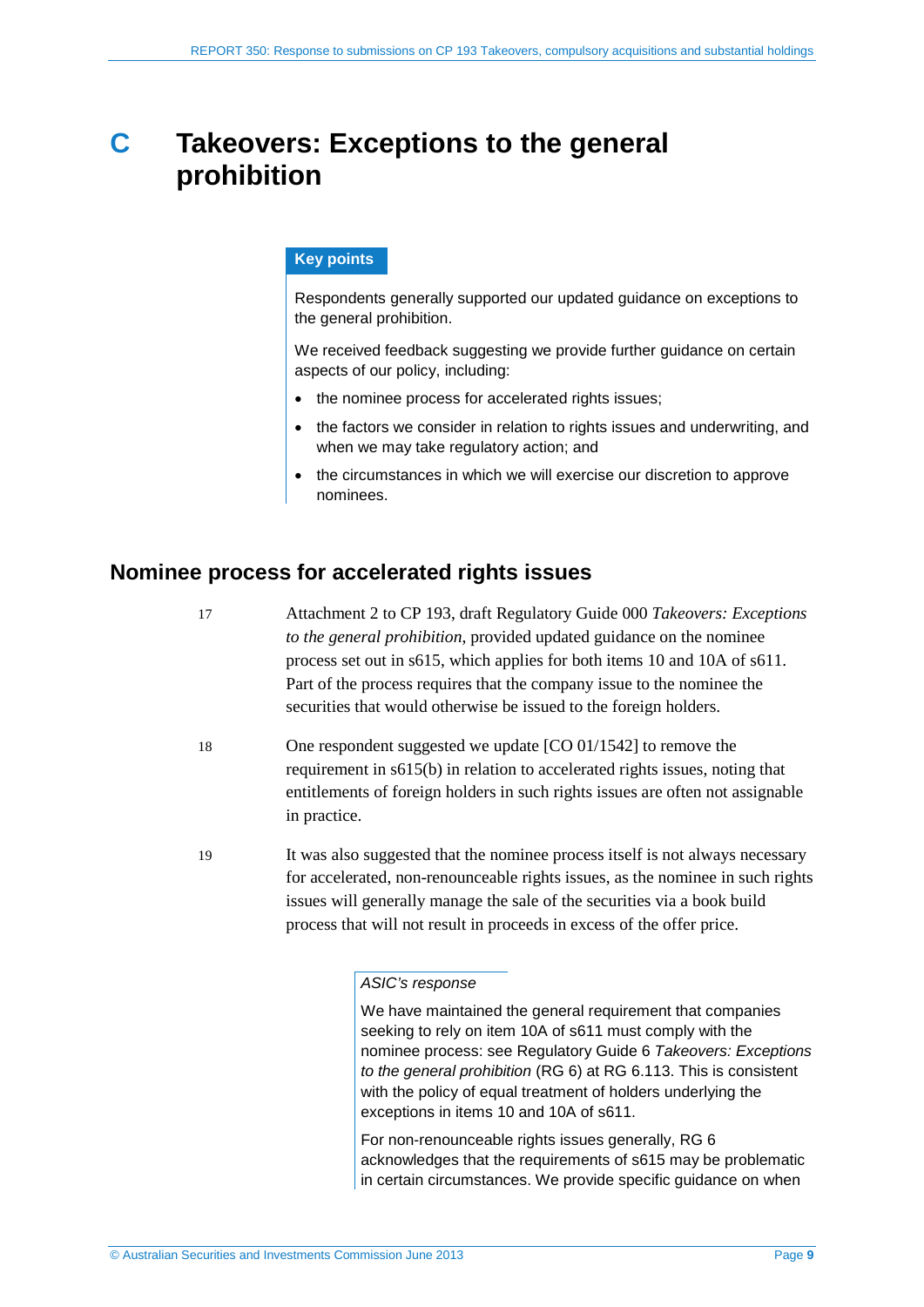## <span id="page-8-0"></span>**C Takeovers: Exceptions to the general prohibition**

#### **Key points**

Respondents generally supported our updated guidance on exceptions to the general prohibition.

We received feedback suggesting we provide further guidance on certain aspects of our policy, including:

- the nominee process for accelerated rights issues;
- the factors we consider in relation to rights issues and underwriting, and when we may take regulatory action; and
- the circumstances in which we will exercise our discretion to approve nominees.

## <span id="page-8-1"></span>**Nominee process for accelerated rights issues**

- 17 Attachment 2 to CP 193, draft Regulatory Guide 000 *Takeovers: Exceptions to the general prohibition*, provided updated guidance on the nominee process set out in s615, which applies for both items 10 and 10A of s611. Part of the process requires that the company issue to the nominee the securities that would otherwise be issued to the foreign holders.
- 18 One respondent suggested we update [CO 01/1542] to remove the requirement in s615(b) in relation to accelerated rights issues, noting that entitlements of foreign holders in such rights issues are often not assignable in practice.
- 19 It was also suggested that the nominee process itself is not always necessary for accelerated, non-renounceable rights issues, as the nominee in such rights issues will generally manage the sale of the securities via a book build process that will not result in proceeds in excess of the offer price.

#### *ASIC's response*

We have maintained the general requirement that companies seeking to rely on item 10A of s611 must comply with the nominee process: see Regulatory Guide 6 *Takeovers: Exceptions to the general prohibition* (RG 6) at RG 6.113. This is consistent with the policy of equal treatment of holders underlying the exceptions in items 10 and 10A of s611.

For non-renounceable rights issues generally, RG 6 acknowledges that the requirements of s615 may be problematic in certain circumstances. We provide specific guidance on when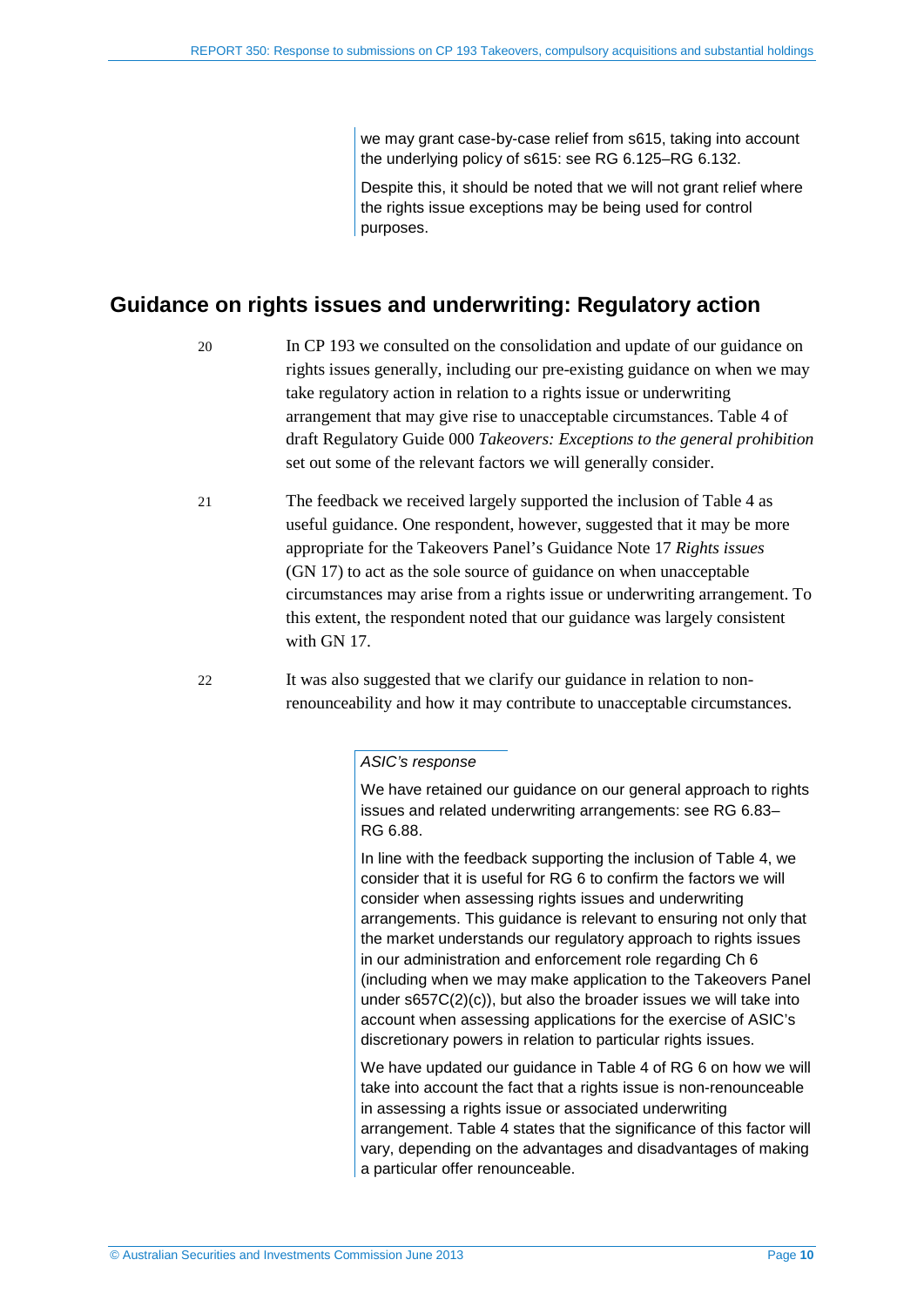we may grant case-by-case relief from s615, taking into account the underlying policy of s615: see RG 6.125–RG 6.132.

Despite this, it should be noted that we will not grant relief where the rights issue exceptions may be being used for control purposes.

## <span id="page-9-0"></span>**Guidance on rights issues and underwriting: Regulatory action**

- 20 In CP 193 we consulted on the consolidation and update of our guidance on rights issues generally, including our pre-existing guidance on when we may take regulatory action in relation to a rights issue or underwriting arrangement that may give rise to unacceptable circumstances. Table 4 of draft Regulatory Guide 000 *Takeovers: Exceptions to the general prohibition*  set out some of the relevant factors we will generally consider.
- 21 The feedback we received largely supported the inclusion of Table 4 as useful guidance. One respondent, however, suggested that it may be more appropriate for the Takeovers Panel's Guidance Note 17 *Rights issues*  (GN 17) to act as the sole source of guidance on when unacceptable circumstances may arise from a rights issue or underwriting arrangement. To this extent, the respondent noted that our guidance was largely consistent with GN 17.
- 22 It was also suggested that we clarify our guidance in relation to nonrenounceability and how it may contribute to unacceptable circumstances.

#### *ASIC's response*

We have retained our guidance on our general approach to rights issues and related underwriting arrangements: see RG 6.83– RG 6.88.

In line with the feedback supporting the inclusion of Table 4, we consider that it is useful for RG 6 to confirm the factors we will consider when assessing rights issues and underwriting arrangements. This guidance is relevant to ensuring not only that the market understands our regulatory approach to rights issues in our administration and enforcement role regarding Ch 6 (including when we may make application to the Takeovers Panel under s657C(2)(c)), but also the broader issues we will take into account when assessing applications for the exercise of ASIC's discretionary powers in relation to particular rights issues.

We have updated our guidance in Table 4 of RG 6 on how we will take into account the fact that a rights issue is non-renounceable in assessing a rights issue or associated underwriting arrangement. Table 4 states that the significance of this factor will vary, depending on the advantages and disadvantages of making a particular offer renounceable.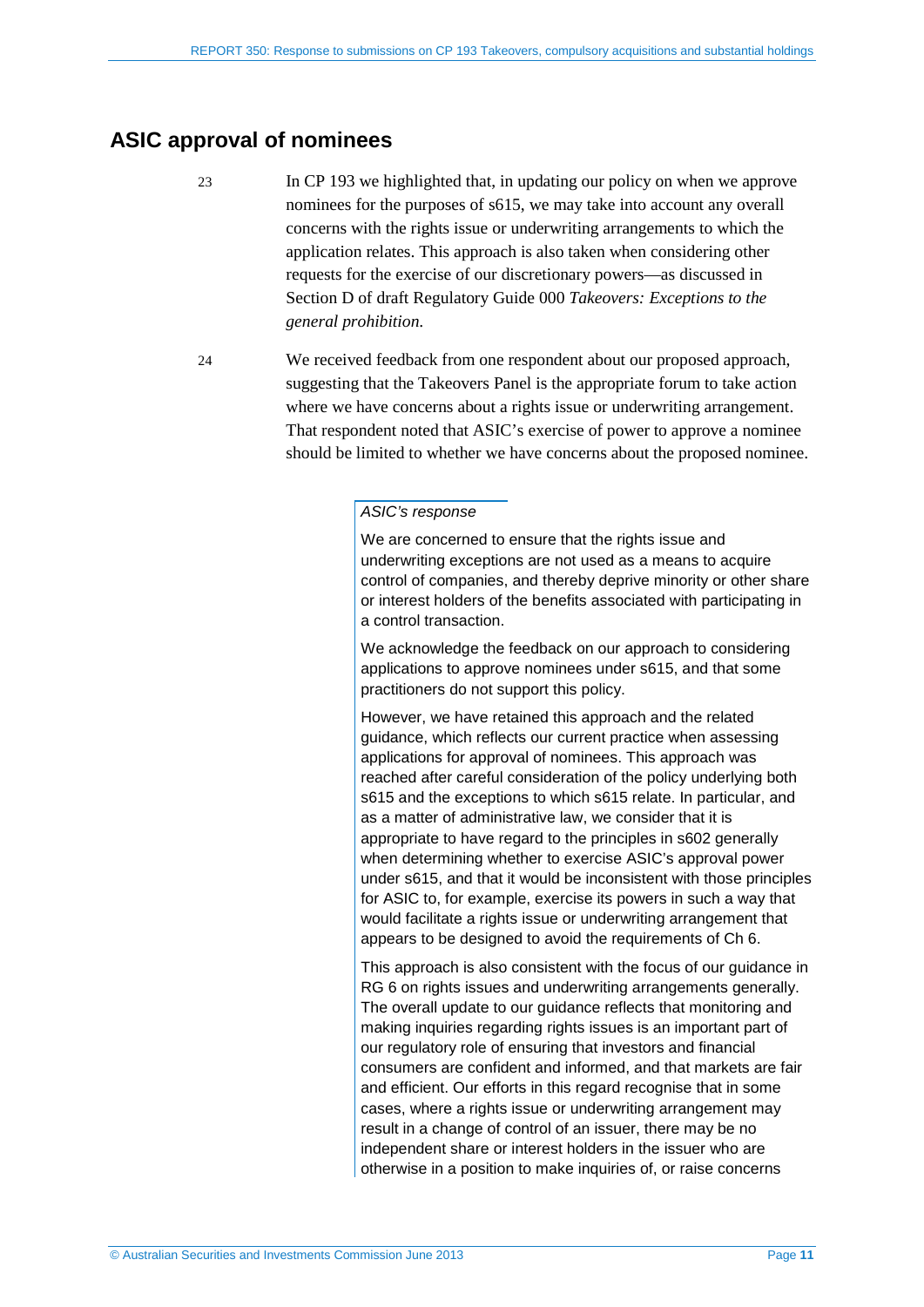## <span id="page-10-0"></span>**ASIC approval of nominees**

- 23 In CP 193 we highlighted that, in updating our policy on when we approve nominees for the purposes of s615, we may take into account any overall concerns with the rights issue or underwriting arrangements to which the application relates. This approach is also taken when considering other requests for the exercise of our discretionary powers—as discussed in Section D of draft Regulatory Guide 000 *Takeovers: Exceptions to the general prohibition*.
- 24 We received feedback from one respondent about our proposed approach, suggesting that the Takeovers Panel is the appropriate forum to take action where we have concerns about a rights issue or underwriting arrangement. That respondent noted that ASIC's exercise of power to approve a nominee should be limited to whether we have concerns about the proposed nominee.

#### *ASIC's response*

We are concerned to ensure that the rights issue and underwriting exceptions are not used as a means to acquire control of companies, and thereby deprive minority or other share or interest holders of the benefits associated with participating in a control transaction.

We acknowledge the feedback on our approach to considering applications to approve nominees under s615, and that some practitioners do not support this policy.

However, we have retained this approach and the related guidance, which reflects our current practice when assessing applications for approval of nominees. This approach was reached after careful consideration of the policy underlying both s615 and the exceptions to which s615 relate. In particular, and as a matter of administrative law, we consider that it is appropriate to have regard to the principles in s602 generally when determining whether to exercise ASIC's approval power under s615, and that it would be inconsistent with those principles for ASIC to, for example, exercise its powers in such a way that would facilitate a rights issue or underwriting arrangement that appears to be designed to avoid the requirements of Ch 6.

This approach is also consistent with the focus of our guidance in RG 6 on rights issues and underwriting arrangements generally. The overall update to our guidance reflects that monitoring and making inquiries regarding rights issues is an important part of our regulatory role of ensuring that investors and financial consumers are confident and informed, and that markets are fair and efficient. Our efforts in this regard recognise that in some cases, where a rights issue or underwriting arrangement may result in a change of control of an issuer, there may be no independent share or interest holders in the issuer who are otherwise in a position to make inquiries of, or raise concerns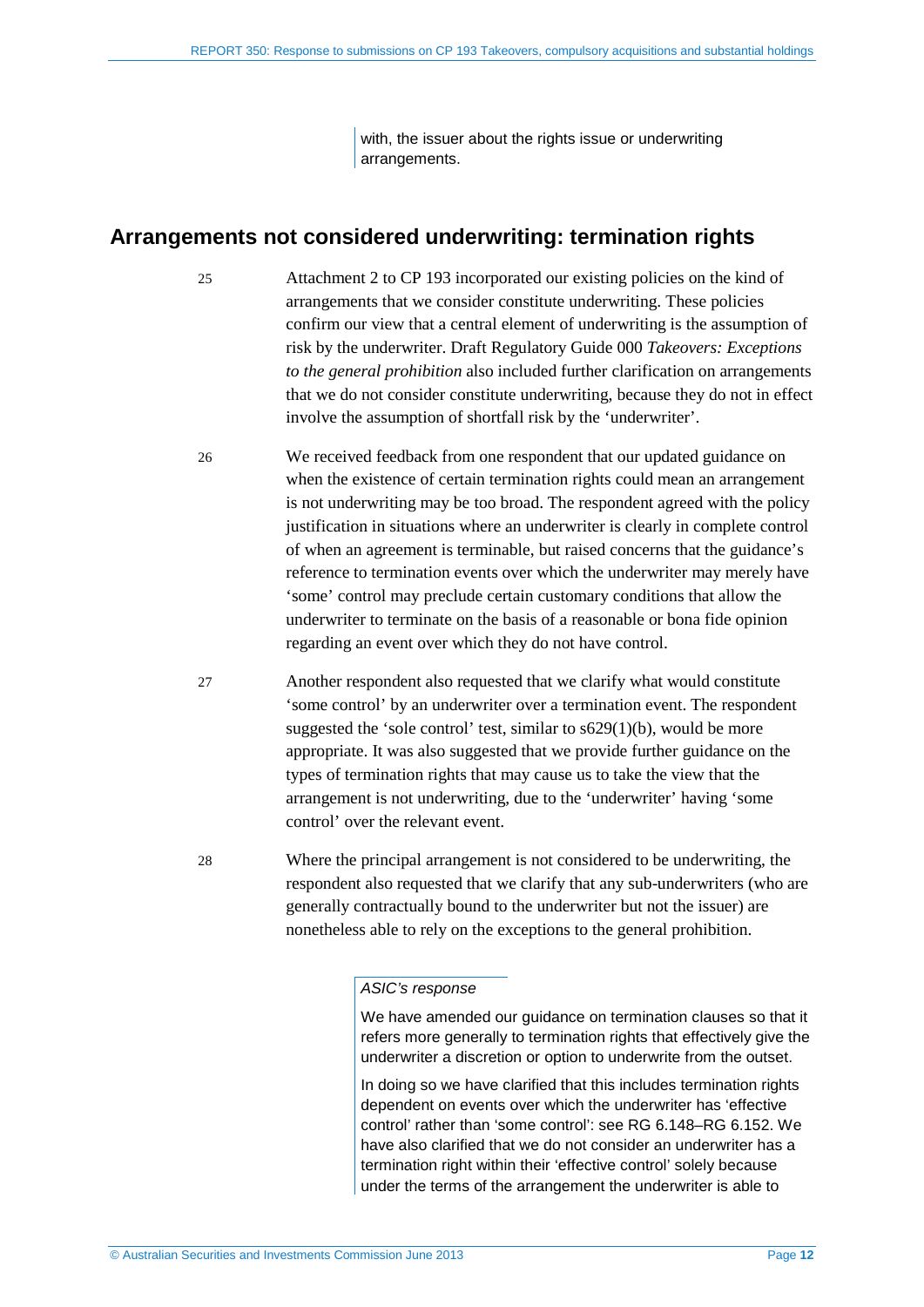with, the issuer about the rights issue or underwriting arrangements.

## <span id="page-11-0"></span>**Arrangements not considered underwriting: termination rights**

25 Attachment 2 to CP 193 incorporated our existing policies on the kind of arrangements that we consider constitute underwriting. These policies confirm our view that a central element of underwriting is the assumption of risk by the underwriter. Draft Regulatory Guide 000 *Takeovers: Exceptions to the general prohibition* also included further clarification on arrangements that we do not consider constitute underwriting, because they do not in effect involve the assumption of shortfall risk by the 'underwriter'.

- 26 We received feedback from one respondent that our updated guidance on when the existence of certain termination rights could mean an arrangement is not underwriting may be too broad. The respondent agreed with the policy justification in situations where an underwriter is clearly in complete control of when an agreement is terminable, but raised concerns that the guidance's reference to termination events over which the underwriter may merely have 'some' control may preclude certain customary conditions that allow the underwriter to terminate on the basis of a reasonable or bona fide opinion regarding an event over which they do not have control.
- 27 Another respondent also requested that we clarify what would constitute 'some control' by an underwriter over a termination event. The respondent suggested the 'sole control' test, similar to  $s629(1)(b)$ , would be more appropriate. It was also suggested that we provide further guidance on the types of termination rights that may cause us to take the view that the arrangement is not underwriting, due to the 'underwriter' having 'some control' over the relevant event.
- 28 Where the principal arrangement is not considered to be underwriting, the respondent also requested that we clarify that any sub-underwriters (who are generally contractually bound to the underwriter but not the issuer) are nonetheless able to rely on the exceptions to the general prohibition.

#### *ASIC's response*

We have amended our guidance on termination clauses so that it refers more generally to termination rights that effectively give the underwriter a discretion or option to underwrite from the outset.

In doing so we have clarified that this includes termination rights dependent on events over which the underwriter has 'effective control' rather than 'some control': see RG 6.148–RG 6.152. We have also clarified that we do not consider an underwriter has a termination right within their 'effective control' solely because under the terms of the arrangement the underwriter is able to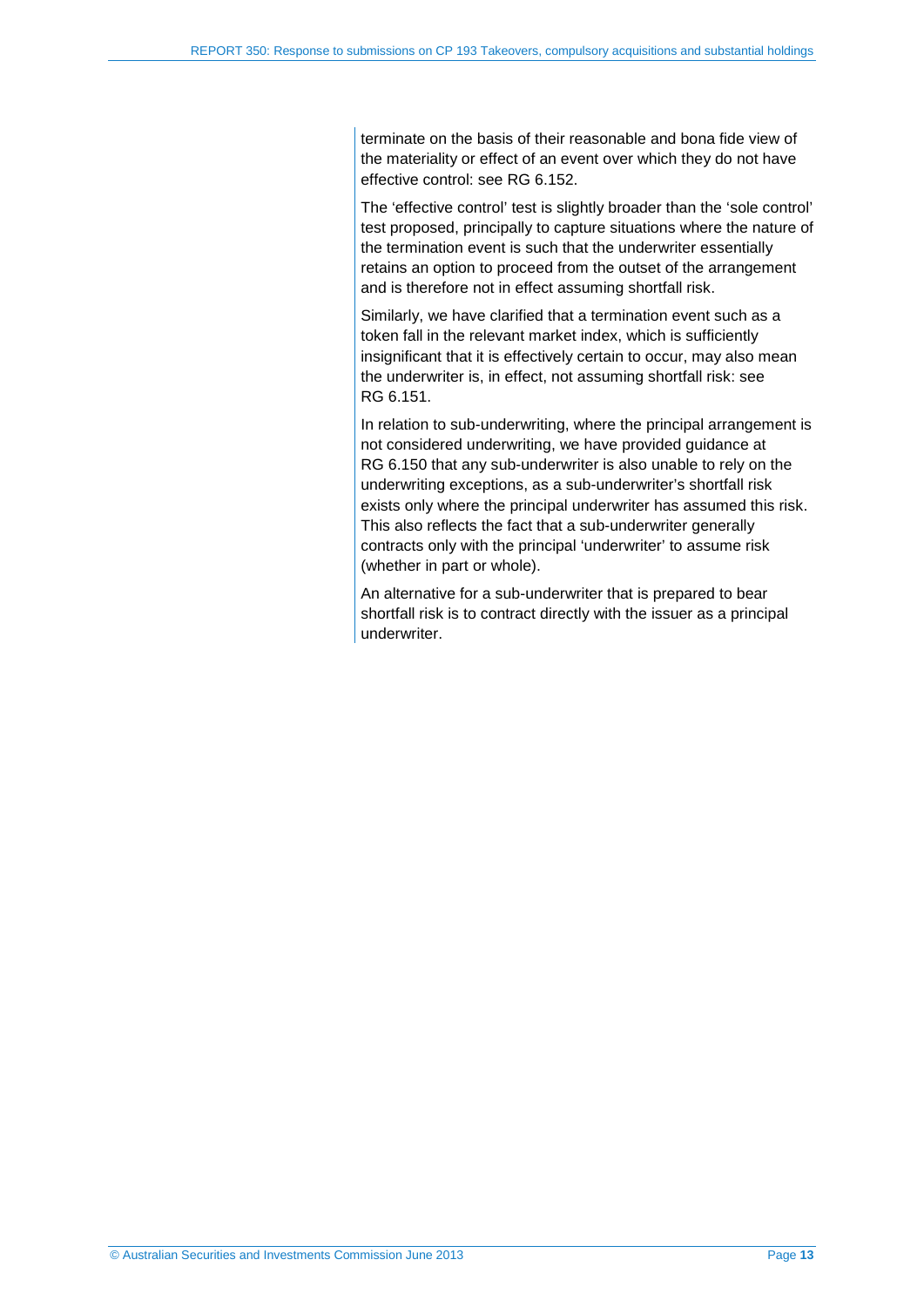terminate on the basis of their reasonable and bona fide view of the materiality or effect of an event over which they do not have effective control: see RG 6.152.

The 'effective control' test is slightly broader than the 'sole control' test proposed, principally to capture situations where the nature of the termination event is such that the underwriter essentially retains an option to proceed from the outset of the arrangement and is therefore not in effect assuming shortfall risk.

Similarly, we have clarified that a termination event such as a token fall in the relevant market index, which is sufficiently insignificant that it is effectively certain to occur, may also mean the underwriter is, in effect, not assuming shortfall risk: see RG 6.151.

In relation to sub-underwriting, where the principal arrangement is not considered underwriting, we have provided guidance at RG 6.150 that any sub-underwriter is also unable to rely on the underwriting exceptions, as a sub-underwriter's shortfall risk exists only where the principal underwriter has assumed this risk. This also reflects the fact that a sub-underwriter generally contracts only with the principal 'underwriter' to assume risk (whether in part or whole).

An alternative for a sub-underwriter that is prepared to bear shortfall risk is to contract directly with the issuer as a principal underwriter.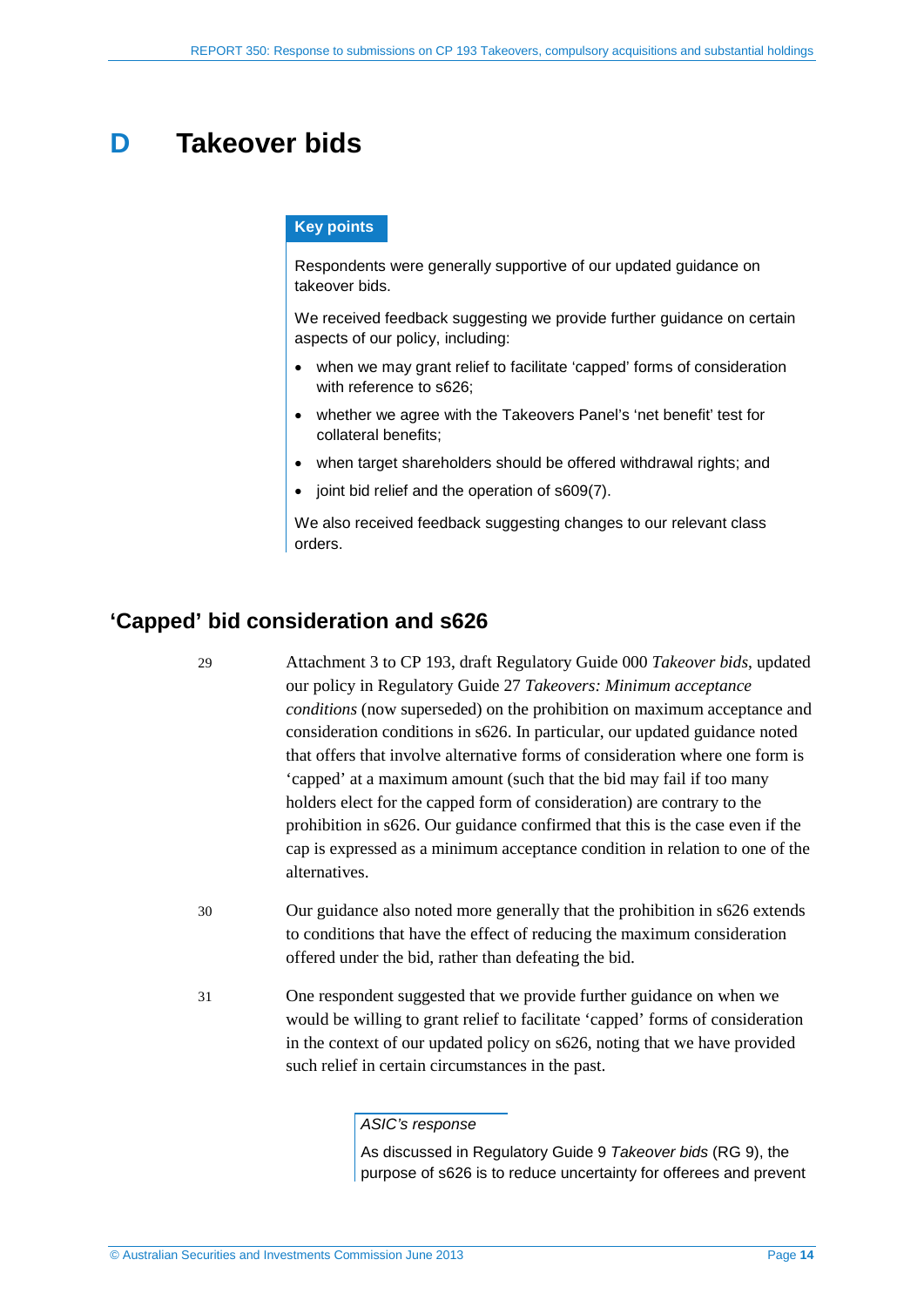## <span id="page-13-0"></span>**D Takeover bids**

#### **Key points**

Respondents were generally supportive of our updated guidance on takeover bids.

We received feedback suggesting we provide further guidance on certain aspects of our policy, including:

- when we may grant relief to facilitate 'capped' forms of consideration with reference to s626;
- whether we agree with the Takeovers Panel's 'net benefit' test for collateral benefits;
- when target shareholders should be offered withdrawal rights; and
- joint bid relief and the operation of s609(7).

We also received feedback suggesting changes to our relevant class orders.

## <span id="page-13-1"></span>**'Capped' bid consideration and s626**

29 Attachment 3 to CP 193, draft Regulatory Guide 000 *Takeover bids*, updated our policy in Regulatory Guide 27 *Takeovers: Minimum acceptance conditions* (now superseded) on the prohibition on maximum acceptance and consideration conditions in s626. In particular, our updated guidance noted that offers that involve alternative forms of consideration where one form is 'capped' at a maximum amount (such that the bid may fail if too many holders elect for the capped form of consideration) are contrary to the prohibition in s626. Our guidance confirmed that this is the case even if the cap is expressed as a minimum acceptance condition in relation to one of the alternatives.

- 30 Our guidance also noted more generally that the prohibition in s626 extends to conditions that have the effect of reducing the maximum consideration offered under the bid, rather than defeating the bid.
- 31 One respondent suggested that we provide further guidance on when we would be willing to grant relief to facilitate 'capped' forms of consideration in the context of our updated policy on s626, noting that we have provided such relief in certain circumstances in the past.

#### *ASIC's response*

As discussed in Regulatory Guide 9 *Takeover bids* (RG 9), the purpose of s626 is to reduce uncertainty for offerees and prevent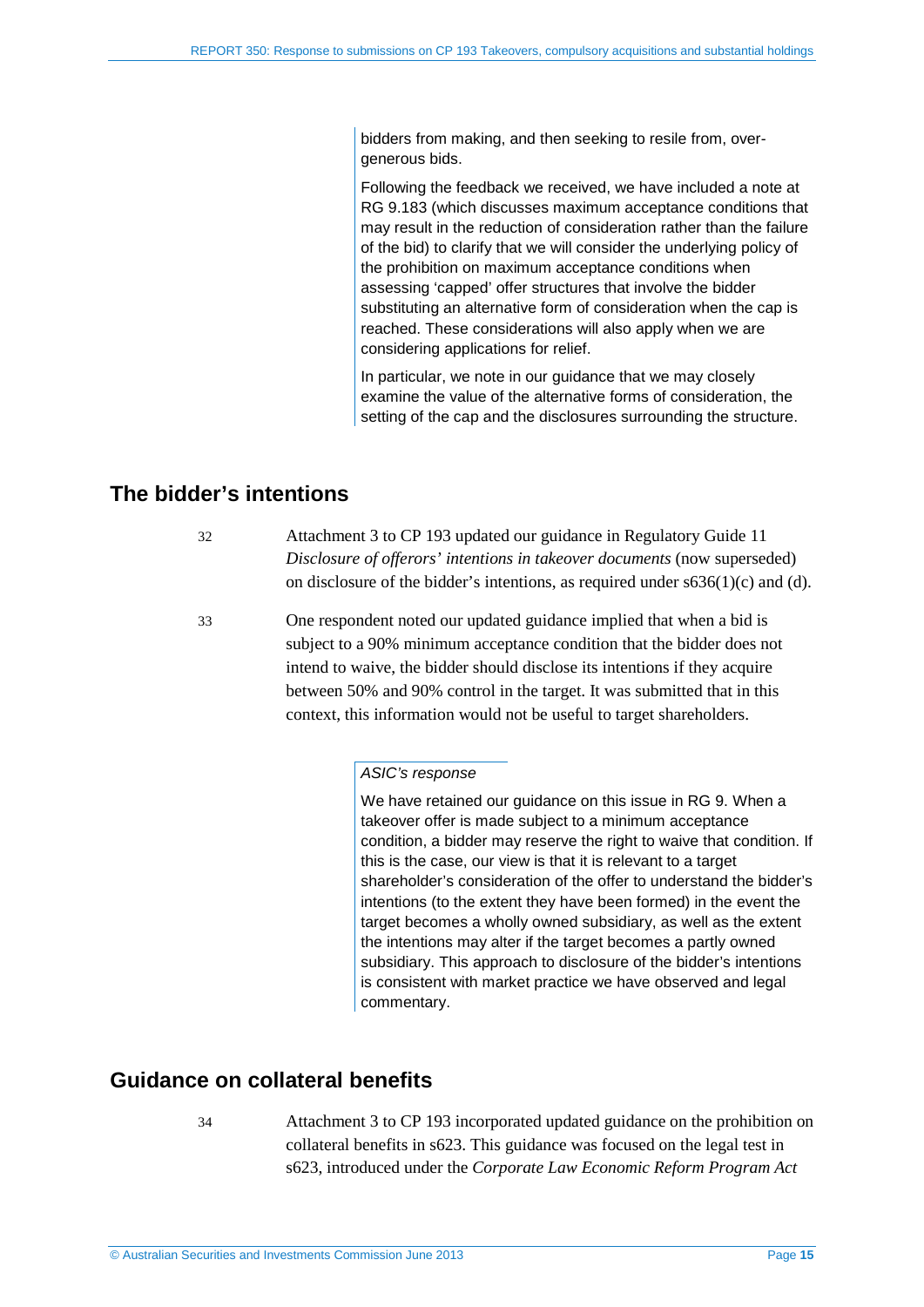bidders from making, and then seeking to resile from, overgenerous bids.

Following the feedback we received, we have included a note at RG 9.183 (which discusses maximum acceptance conditions that may result in the reduction of consideration rather than the failure of the bid) to clarify that we will consider the underlying policy of the prohibition on maximum acceptance conditions when assessing 'capped' offer structures that involve the bidder substituting an alternative form of consideration when the cap is reached. These considerations will also apply when we are considering applications for relief.

In particular, we note in our guidance that we may closely examine the value of the alternative forms of consideration, the setting of the cap and the disclosures surrounding the structure.

## <span id="page-14-0"></span>**The bidder's intentions**

- 32 Attachment 3 to CP 193 updated our guidance in Regulatory Guide 11 *Disclosure of offerors' intentions in takeover documents* (now superseded) on disclosure of the bidder's intentions, as required under s636(1)(c) and (d).
- 33 One respondent noted our updated guidance implied that when a bid is subject to a 90% minimum acceptance condition that the bidder does not intend to waive, the bidder should disclose its intentions if they acquire between 50% and 90% control in the target. It was submitted that in this context, this information would not be useful to target shareholders.

#### *ASIC's response*

We have retained our guidance on this issue in RG 9. When a takeover offer is made subject to a minimum acceptance condition, a bidder may reserve the right to waive that condition. If this is the case, our view is that it is relevant to a target shareholder's consideration of the offer to understand the bidder's intentions (to the extent they have been formed) in the event the target becomes a wholly owned subsidiary, as well as the extent the intentions may alter if the target becomes a partly owned subsidiary. This approach to disclosure of the bidder's intentions is consistent with market practice we have observed and legal commentary.

## <span id="page-14-1"></span>**Guidance on collateral benefits**

34 Attachment 3 to CP 193 incorporated updated guidance on the prohibition on collateral benefits in s623. This guidance was focused on the legal test in s623, introduced under the *Corporate Law Economic Reform Program Act*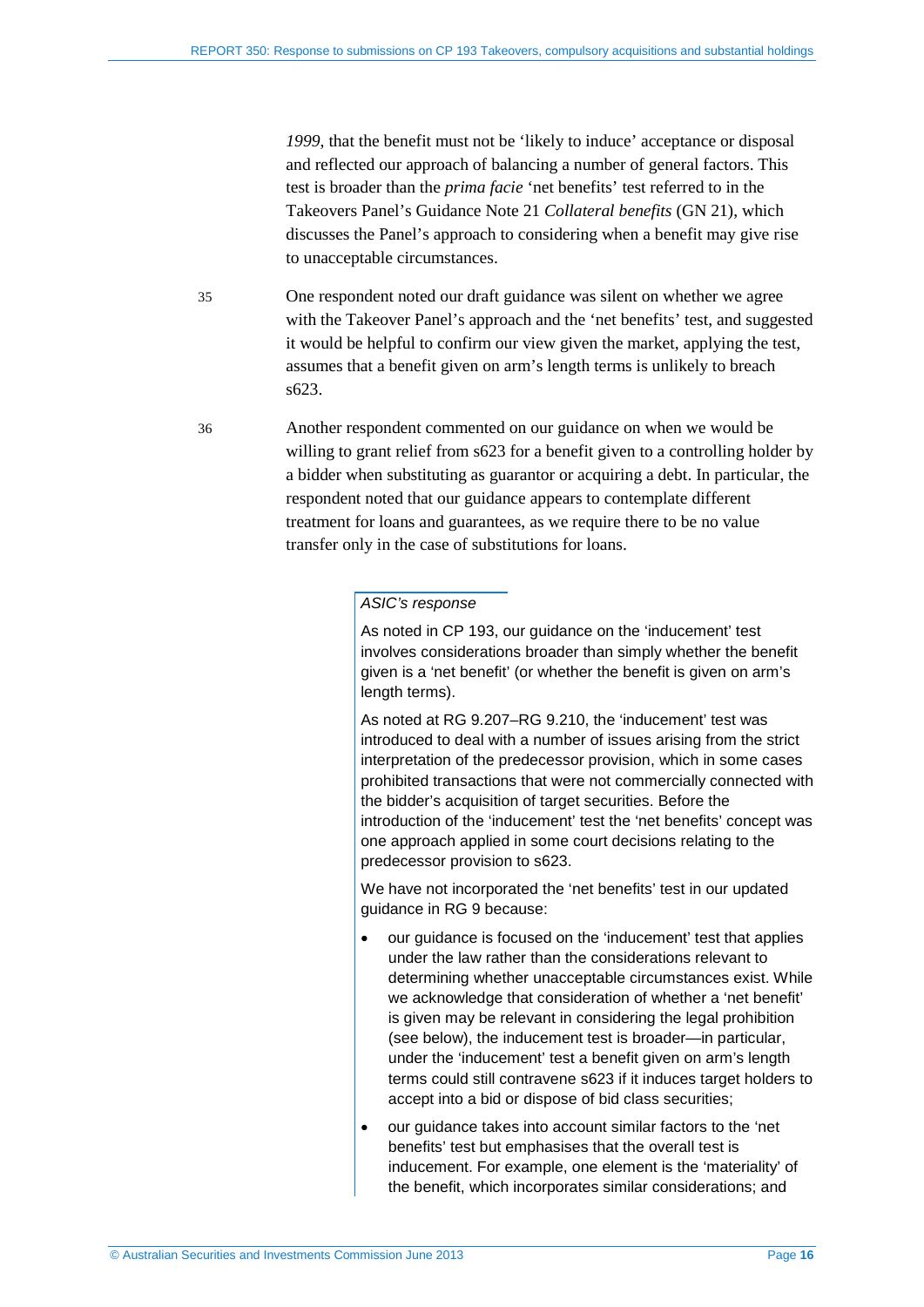*1999*, that the benefit must not be 'likely to induce' acceptance or disposal and reflected our approach of balancing a number of general factors. This test is broader than the *prima facie* 'net benefits' test referred to in the Takeovers Panel's Guidance Note 21 *Collateral benefits* (GN 21), which discusses the Panel's approach to considering when a benefit may give rise to unacceptable circumstances.

35 One respondent noted our draft guidance was silent on whether we agree with the Takeover Panel's approach and the 'net benefits' test, and suggested it would be helpful to confirm our view given the market, applying the test, assumes that a benefit given on arm's length terms is unlikely to breach s623.

36 Another respondent commented on our guidance on when we would be willing to grant relief from s623 for a benefit given to a controlling holder by a bidder when substituting as guarantor or acquiring a debt. In particular, the respondent noted that our guidance appears to contemplate different treatment for loans and guarantees, as we require there to be no value transfer only in the case of substitutions for loans.

#### *ASIC's response*

As noted in CP 193, our guidance on the 'inducement' test involves considerations broader than simply whether the benefit given is a 'net benefit' (or whether the benefit is given on arm's length terms).

As noted at RG 9.207–RG 9.210, the 'inducement' test was introduced to deal with a number of issues arising from the strict interpretation of the predecessor provision, which in some cases prohibited transactions that were not commercially connected with the bidder's acquisition of target securities. Before the introduction of the 'inducement' test the 'net benefits' concept was one approach applied in some court decisions relating to the predecessor provision to s623.

We have not incorporated the 'net benefits' test in our updated guidance in RG 9 because:

- our guidance is focused on the 'inducement' test that applies under the law rather than the considerations relevant to determining whether unacceptable circumstances exist. While we acknowledge that consideration of whether a 'net benefit' is given may be relevant in considering the legal prohibition (see below), the inducement test is broader—in particular, under the 'inducement' test a benefit given on arm's length terms could still contravene s623 if it induces target holders to accept into a bid or dispose of bid class securities;
- our guidance takes into account similar factors to the 'net benefits' test but emphasises that the overall test is inducement. For example, one element is the 'materiality' of the benefit, which incorporates similar considerations; and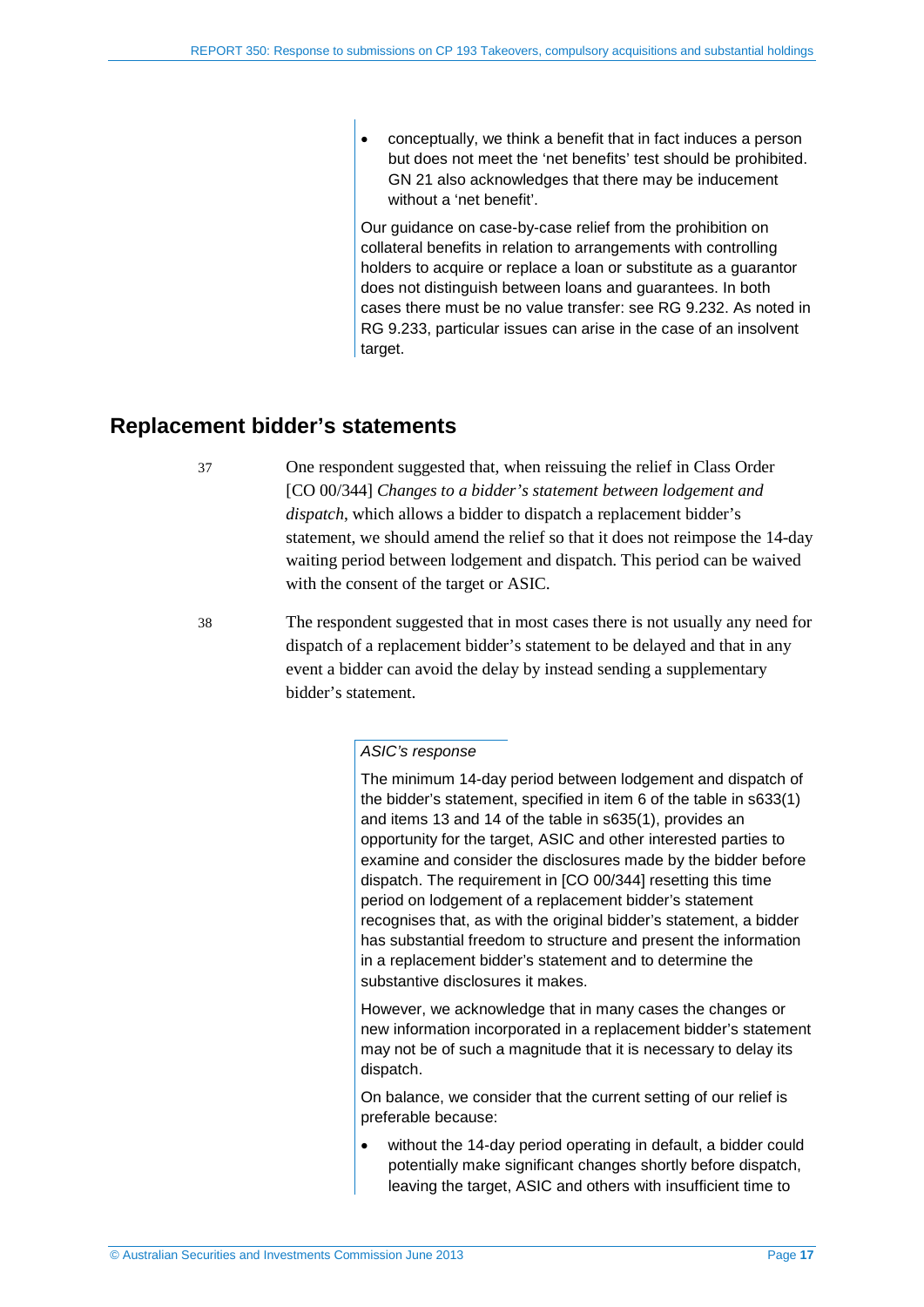• conceptually, we think a benefit that in fact induces a person but does not meet the 'net benefits' test should be prohibited. GN 21 also acknowledges that there may be inducement without a 'net benefit'.

Our guidance on case-by-case relief from the prohibition on collateral benefits in relation to arrangements with controlling holders to acquire or replace a loan or substitute as a guarantor does not distinguish between loans and guarantees. In both cases there must be no value transfer: see RG 9.232. As noted in RG 9.233, particular issues can arise in the case of an insolvent target.

## <span id="page-16-0"></span>**Replacement bidder's statements**

37 One respondent suggested that, when reissuing the relief in Class Order [CO 00/344] *Changes to a bidder's statement between lodgement and dispatch*, which allows a bidder to dispatch a replacement bidder's statement, we should amend the relief so that it does not reimpose the 14-day waiting period between lodgement and dispatch. This period can be waived with the consent of the target or ASIC.

38 The respondent suggested that in most cases there is not usually any need for dispatch of a replacement bidder's statement to be delayed and that in any event a bidder can avoid the delay by instead sending a supplementary bidder's statement.

#### *ASIC's response*

The minimum 14-day period between lodgement and dispatch of the bidder's statement, specified in item 6 of the table in s633(1) and items 13 and 14 of the table in s635(1), provides an opportunity for the target, ASIC and other interested parties to examine and consider the disclosures made by the bidder before dispatch. The requirement in [CO 00/344] resetting this time period on lodgement of a replacement bidder's statement recognises that, as with the original bidder's statement, a bidder has substantial freedom to structure and present the information in a replacement bidder's statement and to determine the substantive disclosures it makes.

However, we acknowledge that in many cases the changes or new information incorporated in a replacement bidder's statement may not be of such a magnitude that it is necessary to delay its dispatch.

On balance, we consider that the current setting of our relief is preferable because:

• without the 14-day period operating in default, a bidder could potentially make significant changes shortly before dispatch, leaving the target, ASIC and others with insufficient time to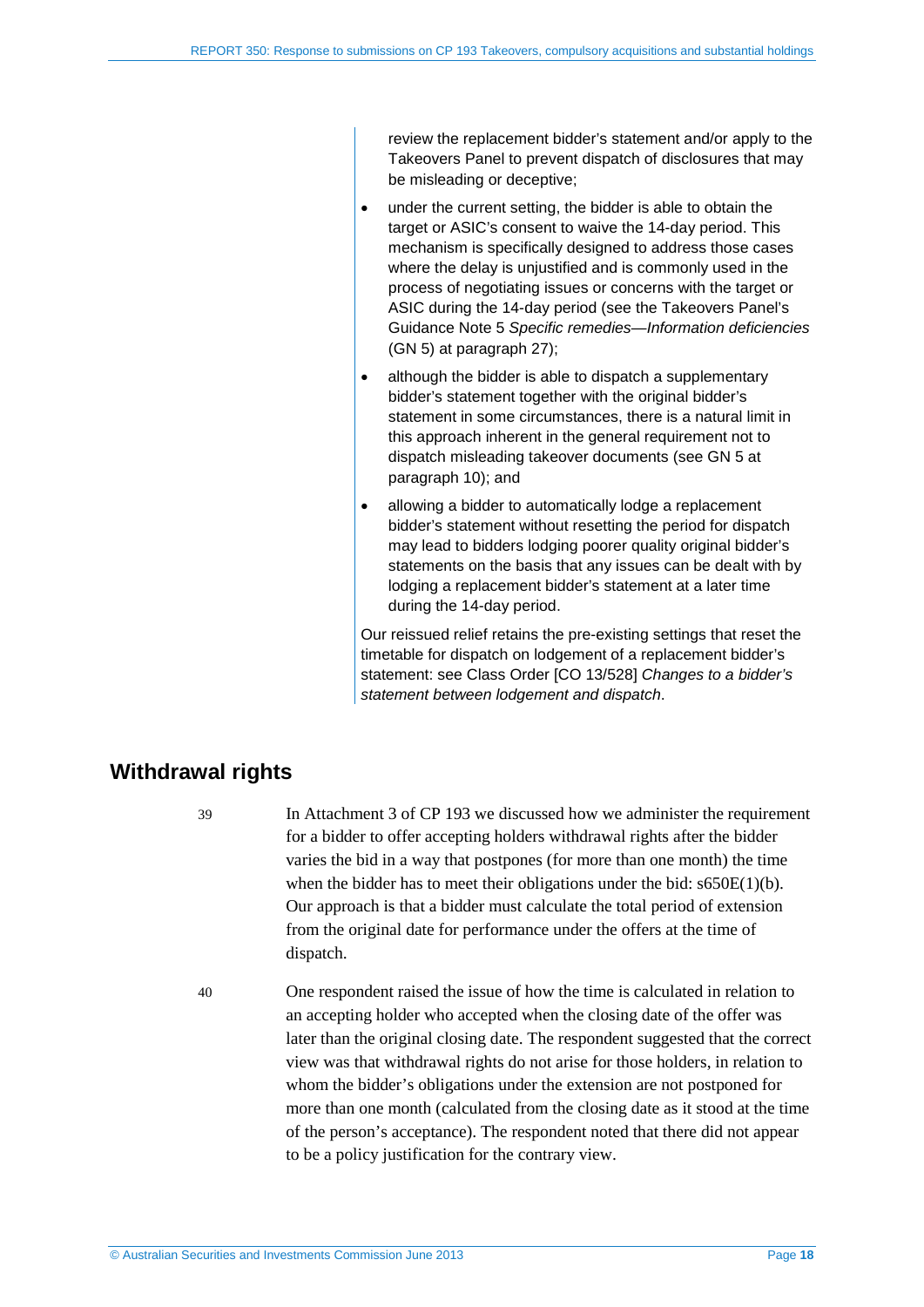review the replacement bidder's statement and/or apply to the Takeovers Panel to prevent dispatch of disclosures that may be misleading or deceptive;

- under the current setting, the bidder is able to obtain the target or ASIC's consent to waive the 14-day period. This mechanism is specifically designed to address those cases where the delay is unjustified and is commonly used in the process of negotiating issues or concerns with the target or ASIC during the 14-day period (see the Takeovers Panel's Guidance Note 5 *Specific remedies—Information deficiencies* (GN 5) at paragraph 27);
- although the bidder is able to dispatch a supplementary bidder's statement together with the original bidder's statement in some circumstances, there is a natural limit in this approach inherent in the general requirement not to dispatch misleading takeover documents (see GN 5 at paragraph 10); and
- allowing a bidder to automatically lodge a replacement bidder's statement without resetting the period for dispatch may lead to bidders lodging poorer quality original bidder's statements on the basis that any issues can be dealt with by lodging a replacement bidder's statement at a later time during the 14-day period.

Our reissued relief retains the pre-existing settings that reset the timetable for dispatch on lodgement of a replacement bidder's statement: see Class Order [CO 13/528] *Changes to a bidder's statement between lodgement and dispatch*.

## <span id="page-17-0"></span>**Withdrawal rights**

39 In Attachment 3 of CP 193 we discussed how we administer the requirement for a bidder to offer accepting holders withdrawal rights after the bidder varies the bid in a way that postpones (for more than one month) the time when the bidder has to meet their obligations under the bid:  $s650E(1)(b)$ . Our approach is that a bidder must calculate the total period of extension from the original date for performance under the offers at the time of dispatch.

40 One respondent raised the issue of how the time is calculated in relation to an accepting holder who accepted when the closing date of the offer was later than the original closing date. The respondent suggested that the correct view was that withdrawal rights do not arise for those holders, in relation to whom the bidder's obligations under the extension are not postponed for more than one month (calculated from the closing date as it stood at the time of the person's acceptance). The respondent noted that there did not appear to be a policy justification for the contrary view.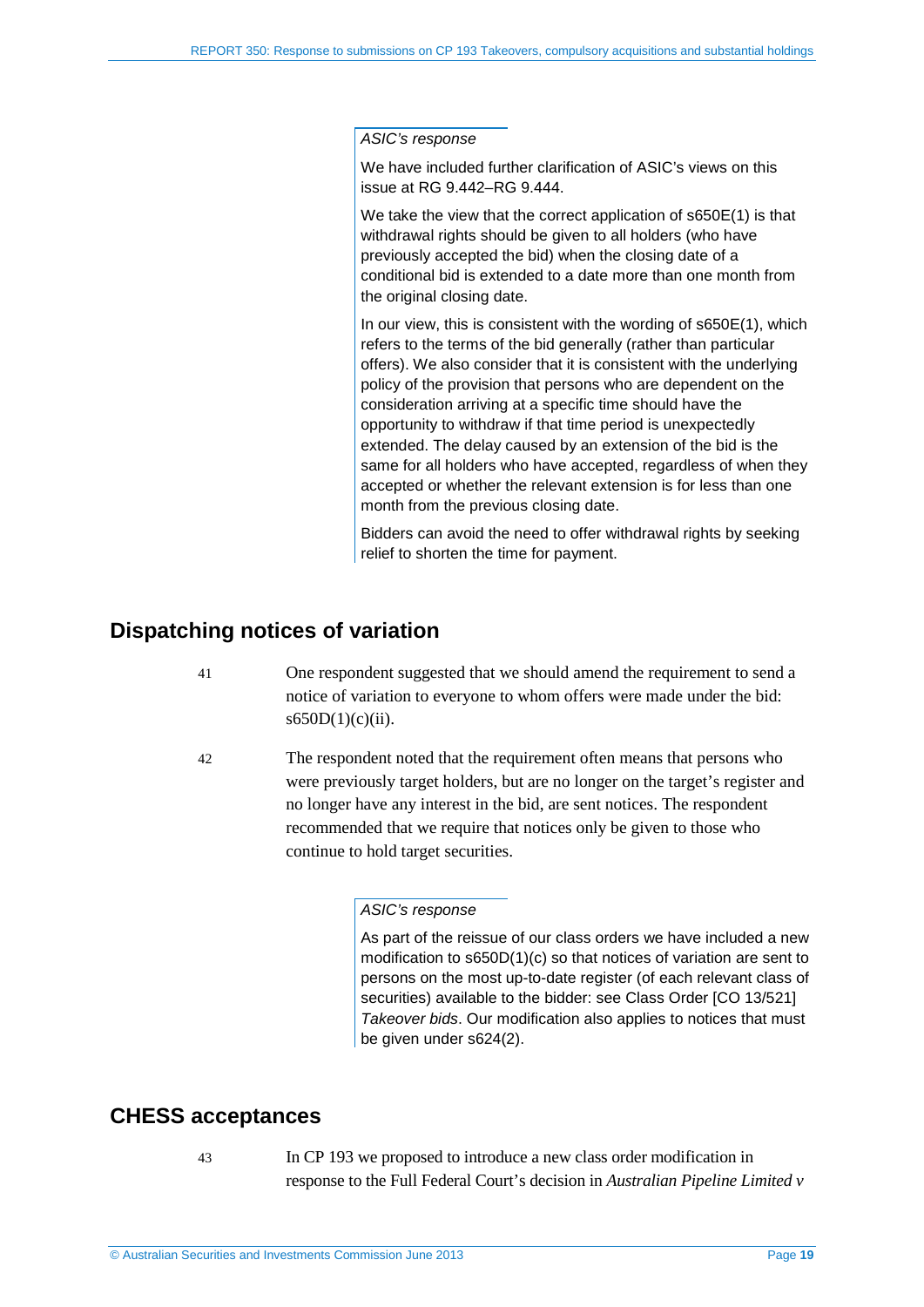*ASIC's response*

We have included further clarification of ASIC's views on this issue at RG 9.442–RG 9.444.

We take the view that the correct application of s650E(1) is that withdrawal rights should be given to all holders (who have previously accepted the bid) when the closing date of a conditional bid is extended to a date more than one month from the original closing date.

In our view, this is consistent with the wording of s650E(1), which refers to the terms of the bid generally (rather than particular offers). We also consider that it is consistent with the underlying policy of the provision that persons who are dependent on the consideration arriving at a specific time should have the opportunity to withdraw if that time period is unexpectedly extended. The delay caused by an extension of the bid is the same for all holders who have accepted, regardless of when they accepted or whether the relevant extension is for less than one month from the previous closing date.

Bidders can avoid the need to offer withdrawal rights by seeking relief to shorten the time for payment.

## <span id="page-18-0"></span>**Dispatching notices of variation**

- 41 One respondent suggested that we should amend the requirement to send a notice of variation to everyone to whom offers were made under the bid:  $s650D(1)(c)(ii)$ .
- 42 The respondent noted that the requirement often means that persons who were previously target holders, but are no longer on the target's register and no longer have any interest in the bid, are sent notices. The respondent recommended that we require that notices only be given to those who continue to hold target securities.

#### *ASIC's response*

As part of the reissue of our class orders we have included a new modification to s650D(1)(c) so that notices of variation are sent to persons on the most up-to-date register (of each relevant class of securities) available to the bidder: see Class Order ICO 13/5211 *Takeover bids*. Our modification also applies to notices that must be given under s624(2).

## <span id="page-18-1"></span>**CHESS acceptances**

- 
- 43 In CP 193 we proposed to introduce a new class order modification in response to the Full Federal Court's decision in *Australian Pipeline Limited v*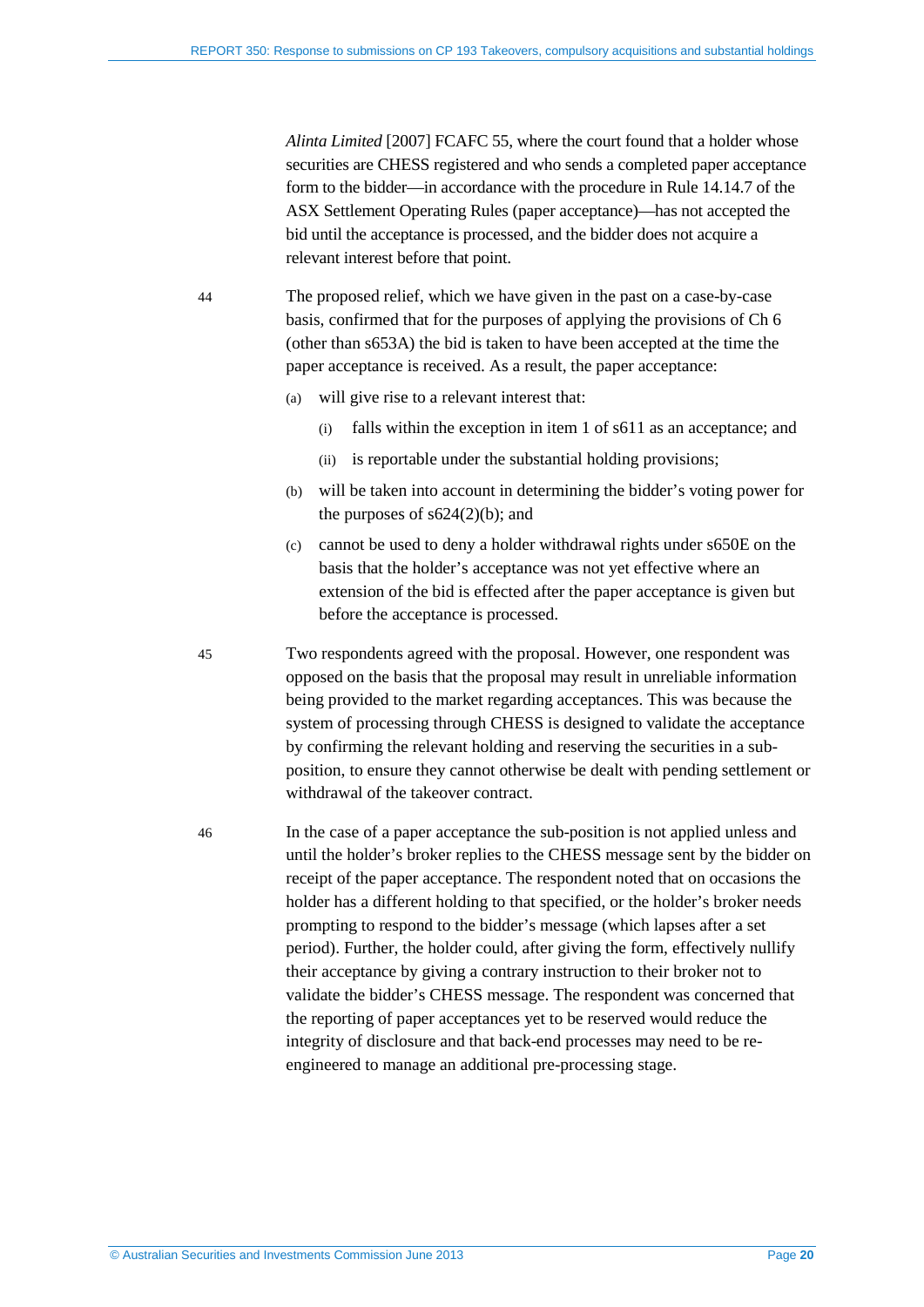*Alinta Limited* [2007] FCAFC 55, where the court found that a holder whose securities are CHESS registered and who sends a completed paper acceptance form to the bidder—in accordance with the procedure in Rule 14.14.7 of the ASX Settlement Operating Rules (paper acceptance)—has not accepted the bid until the acceptance is processed, and the bidder does not acquire a relevant interest before that point.

44 The proposed relief, which we have given in the past on a case-by-case basis, confirmed that for the purposes of applying the provisions of Ch 6 (other than s653A) the bid is taken to have been accepted at the time the paper acceptance is received. As a result, the paper acceptance:

- (a) will give rise to a relevant interest that:
	- (i) falls within the exception in item 1 of s611 as an acceptance; and
	- (ii) is reportable under the substantial holding provisions;
- (b) will be taken into account in determining the bidder's voting power for the purposes of  $s624(2)(b)$ ; and
- (c) cannot be used to deny a holder withdrawal rights under s650E on the basis that the holder's acceptance was not yet effective where an extension of the bid is effected after the paper acceptance is given but before the acceptance is processed.

45 Two respondents agreed with the proposal. However, one respondent was opposed on the basis that the proposal may result in unreliable information being provided to the market regarding acceptances. This was because the system of processing through CHESS is designed to validate the acceptance by confirming the relevant holding and reserving the securities in a subposition, to ensure they cannot otherwise be dealt with pending settlement or withdrawal of the takeover contract.

46 In the case of a paper acceptance the sub-position is not applied unless and until the holder's broker replies to the CHESS message sent by the bidder on receipt of the paper acceptance. The respondent noted that on occasions the holder has a different holding to that specified, or the holder's broker needs prompting to respond to the bidder's message (which lapses after a set period). Further, the holder could, after giving the form, effectively nullify their acceptance by giving a contrary instruction to their broker not to validate the bidder's CHESS message. The respondent was concerned that the reporting of paper acceptances yet to be reserved would reduce the integrity of disclosure and that back-end processes may need to be reengineered to manage an additional pre-processing stage.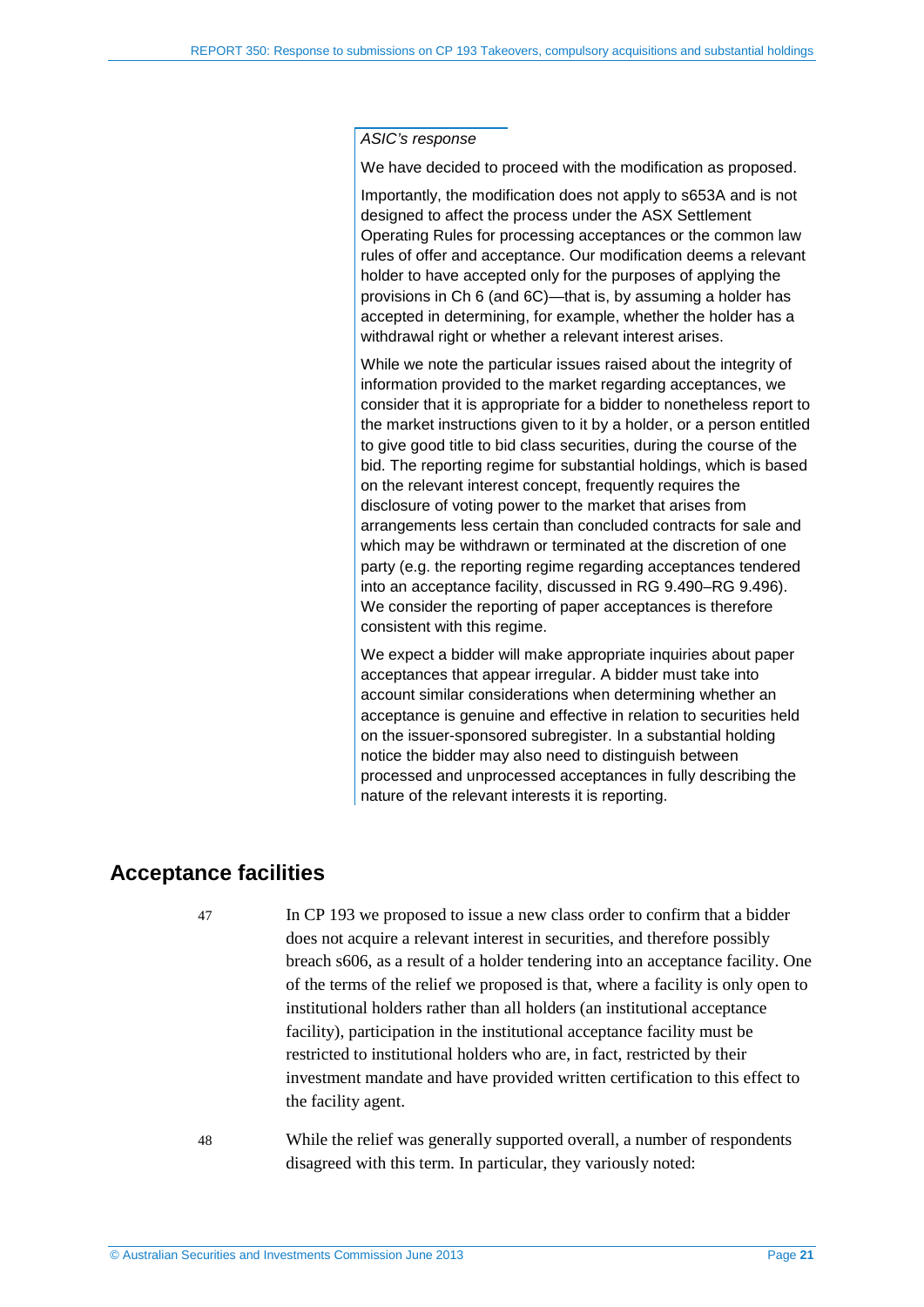#### *ASIC's response*

We have decided to proceed with the modification as proposed.

Importantly, the modification does not apply to s653A and is not designed to affect the process under the ASX Settlement Operating Rules for processing acceptances or the common law rules of offer and acceptance. Our modification deems a relevant holder to have accepted only for the purposes of applying the provisions in Ch 6 (and 6C)—that is, by assuming a holder has accepted in determining, for example, whether the holder has a withdrawal right or whether a relevant interest arises.

While we note the particular issues raised about the integrity of information provided to the market regarding acceptances, we consider that it is appropriate for a bidder to nonetheless report to the market instructions given to it by a holder, or a person entitled to give good title to bid class securities, during the course of the bid. The reporting regime for substantial holdings, which is based on the relevant interest concept, frequently requires the disclosure of voting power to the market that arises from arrangements less certain than concluded contracts for sale and which may be withdrawn or terminated at the discretion of one party (e.g. the reporting regime regarding acceptances tendered into an acceptance facility, discussed in RG 9.490–RG 9.496). We consider the reporting of paper acceptances is therefore consistent with this regime.

We expect a bidder will make appropriate inquiries about paper acceptances that appear irregular. A bidder must take into account similar considerations when determining whether an acceptance is genuine and effective in relation to securities held on the issuer-sponsored subregister. In a substantial holding notice the bidder may also need to distinguish between processed and unprocessed acceptances in fully describing the nature of the relevant interests it is reporting.

## <span id="page-20-0"></span>**Acceptance facilities**

47 In CP 193 we proposed to issue a new class order to confirm that a bidder does not acquire a relevant interest in securities, and therefore possibly breach s606, as a result of a holder tendering into an acceptance facility. One of the terms of the relief we proposed is that, where a facility is only open to institutional holders rather than all holders (an institutional acceptance facility), participation in the institutional acceptance facility must be restricted to institutional holders who are, in fact, restricted by their investment mandate and have provided written certification to this effect to the facility agent.

48 While the relief was generally supported overall, a number of respondents disagreed with this term. In particular, they variously noted: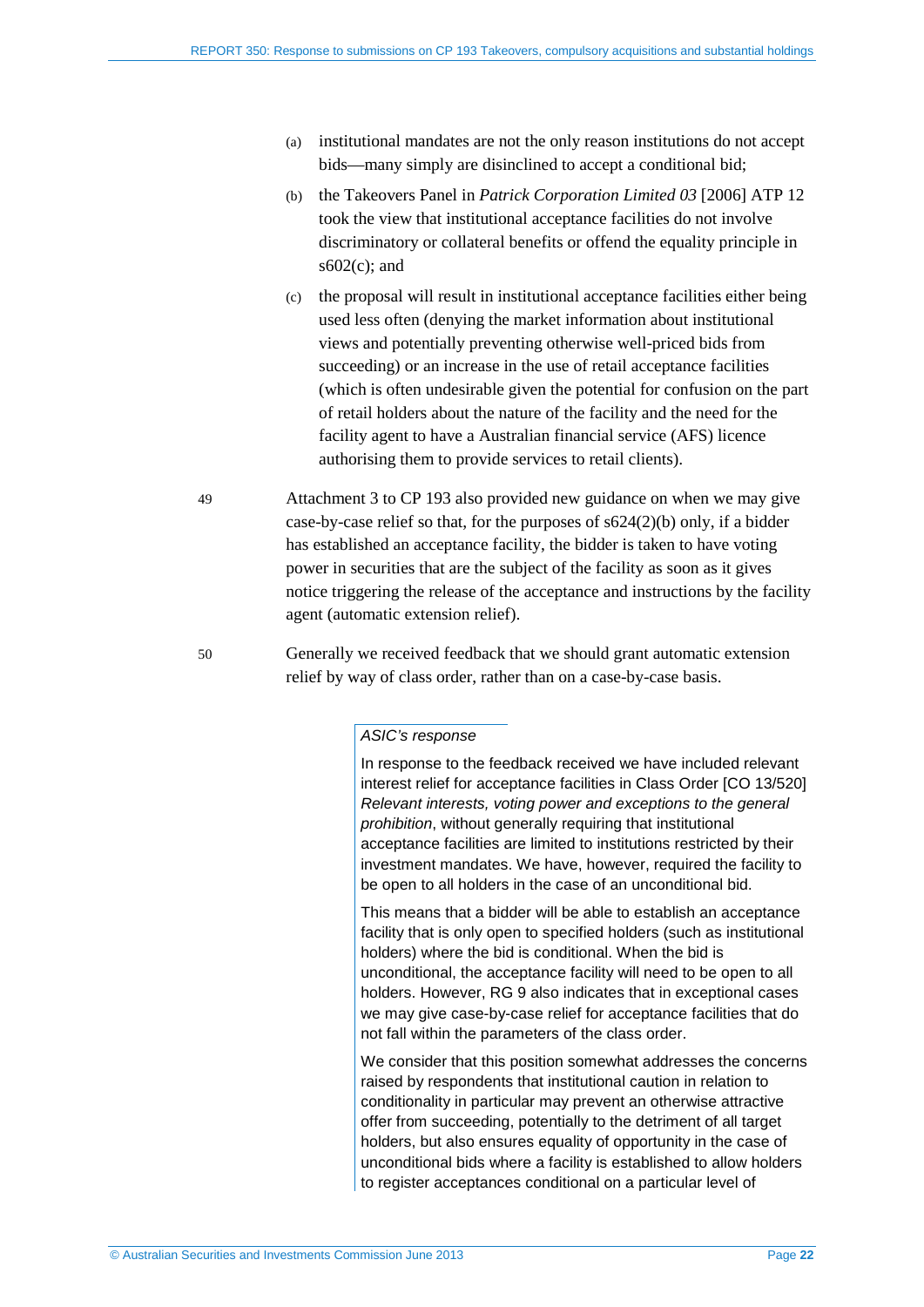- (a) institutional mandates are not the only reason institutions do not accept bids—many simply are disinclined to accept a conditional bid;
- (b) the Takeovers Panel in *Patrick Corporation Limited 03* [2006] ATP 12 took the view that institutional acceptance facilities do not involve discriminatory or collateral benefits or offend the equality principle in s602(c); and
- (c) the proposal will result in institutional acceptance facilities either being used less often (denying the market information about institutional views and potentially preventing otherwise well-priced bids from succeeding) or an increase in the use of retail acceptance facilities (which is often undesirable given the potential for confusion on the part of retail holders about the nature of the facility and the need for the facility agent to have a Australian financial service (AFS) licence authorising them to provide services to retail clients).
- 49 Attachment 3 to CP 193 also provided new guidance on when we may give case-by-case relief so that, for the purposes of s624(2)(b) only, if a bidder has established an acceptance facility, the bidder is taken to have voting power in securities that are the subject of the facility as soon as it gives notice triggering the release of the acceptance and instructions by the facility agent (automatic extension relief).
- 50 Generally we received feedback that we should grant automatic extension relief by way of class order, rather than on a case-by-case basis.

#### *ASIC's response*

In response to the feedback received we have included relevant interest relief for acceptance facilities in Class Order [CO 13/520] *Relevant interests, voting power and exceptions to the general prohibition*, without generally requiring that institutional acceptance facilities are limited to institutions restricted by their investment mandates. We have, however, required the facility to be open to all holders in the case of an unconditional bid.

This means that a bidder will be able to establish an acceptance facility that is only open to specified holders (such as institutional holders) where the bid is conditional. When the bid is unconditional, the acceptance facility will need to be open to all holders. However, RG 9 also indicates that in exceptional cases we may give case-by-case relief for acceptance facilities that do not fall within the parameters of the class order.

We consider that this position somewhat addresses the concerns raised by respondents that institutional caution in relation to conditionality in particular may prevent an otherwise attractive offer from succeeding, potentially to the detriment of all target holders, but also ensures equality of opportunity in the case of unconditional bids where a facility is established to allow holders to register acceptances conditional on a particular level of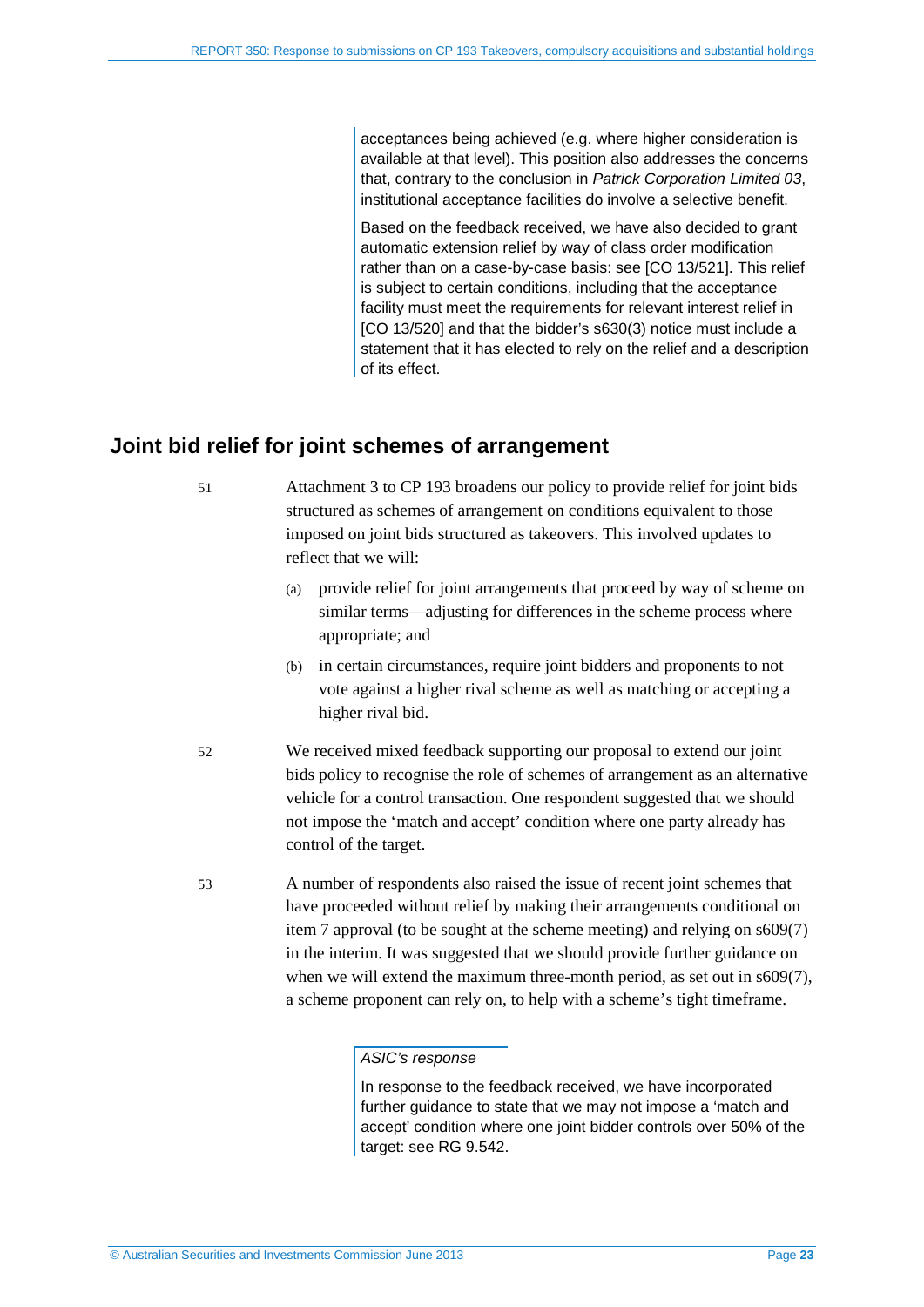acceptances being achieved (e.g. where higher consideration is available at that level). This position also addresses the concerns that, contrary to the conclusion in *Patrick Corporation Limited 03*, institutional acceptance facilities do involve a selective benefit.

Based on the feedback received, we have also decided to grant automatic extension relief by way of class order modification rather than on a case-by-case basis: see [CO 13/521]. This relief is subject to certain conditions, including that the acceptance facility must meet the requirements for relevant interest relief in [CO 13/520] and that the bidder's s630(3) notice must include a statement that it has elected to rely on the relief and a description of its effect.

## <span id="page-22-0"></span>**Joint bid relief for joint schemes of arrangement**

51 Attachment 3 to CP 193 broadens our policy to provide relief for joint bids structured as schemes of arrangement on conditions equivalent to those imposed on joint bids structured as takeovers. This involved updates to reflect that we will:

- (a) provide relief for joint arrangements that proceed by way of scheme on similar terms—adjusting for differences in the scheme process where appropriate; and
- (b) in certain circumstances, require joint bidders and proponents to not vote against a higher rival scheme as well as matching or accepting a higher rival bid.
- 52 We received mixed feedback supporting our proposal to extend our joint bids policy to recognise the role of schemes of arrangement as an alternative vehicle for a control transaction. One respondent suggested that we should not impose the 'match and accept' condition where one party already has control of the target.
- 53 A number of respondents also raised the issue of recent joint schemes that have proceeded without relief by making their arrangements conditional on item 7 approval (to be sought at the scheme meeting) and relying on s609(7) in the interim. It was suggested that we should provide further guidance on when we will extend the maximum three-month period, as set out in s609(7), a scheme proponent can rely on, to help with a scheme's tight timeframe.

#### *ASIC's response*

In response to the feedback received, we have incorporated further guidance to state that we may not impose a 'match and accept' condition where one joint bidder controls over 50% of the target: see RG 9.542.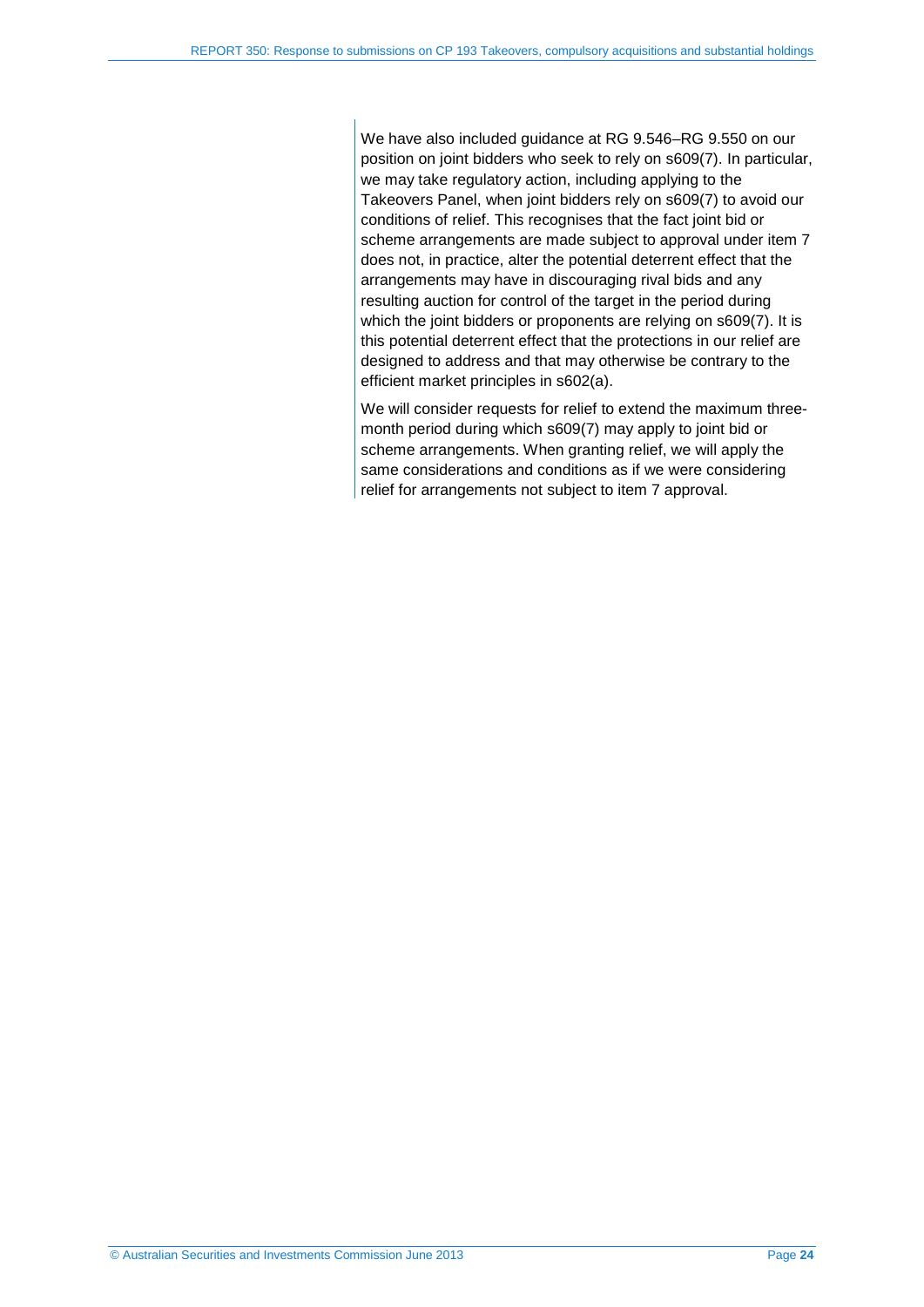We have also included guidance at RG 9.546–RG 9.550 on our position on joint bidders who seek to rely on s609(7). In particular, we may take regulatory action, including applying to the Takeovers Panel, when joint bidders rely on s609(7) to avoid our conditions of relief. This recognises that the fact joint bid or scheme arrangements are made subject to approval under item 7 does not, in practice, alter the potential deterrent effect that the arrangements may have in discouraging rival bids and any resulting auction for control of the target in the period during which the joint bidders or proponents are relying on s609(7). It is this potential deterrent effect that the protections in our relief are designed to address and that may otherwise be contrary to the efficient market principles in s602(a).

We will consider requests for relief to extend the maximum threemonth period during which s609(7) may apply to joint bid or scheme arrangements. When granting relief, we will apply the same considerations and conditions as if we were considering relief for arrangements not subject to item 7 approval.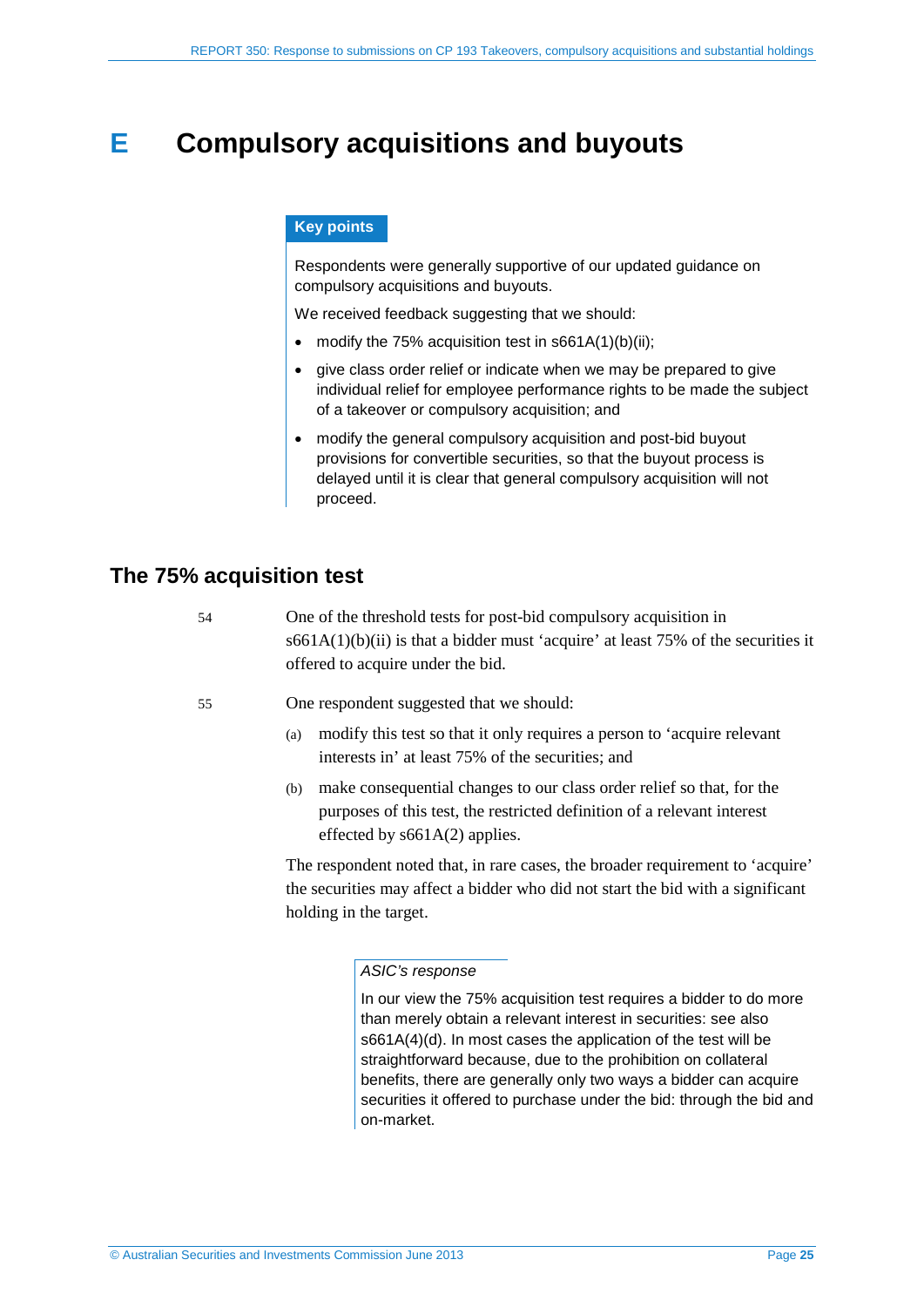## <span id="page-24-0"></span>**E Compulsory acquisitions and buyouts**

#### **Key points**

Respondents were generally supportive of our updated guidance on compulsory acquisitions and buyouts.

We received feedback suggesting that we should:

- modify the 75% acquisition test in  $s661A(1)(b)(ii)$ ;
- give class order relief or indicate when we may be prepared to give individual relief for employee performance rights to be made the subject of a takeover or compulsory acquisition; and
- modify the general compulsory acquisition and post-bid buyout provisions for convertible securities, so that the buyout process is delayed until it is clear that general compulsory acquisition will not proceed.

## <span id="page-24-1"></span>**The 75% acquisition test**

| 54 | One of the threshold tests for post-bid compulsory acquisition in<br>$s661A(1)(b)(ii)$ is that a bidder must 'acquire' at least 75% of the securities it<br>offered to acquire under the bid. |
|----|-----------------------------------------------------------------------------------------------------------------------------------------------------------------------------------------------|
| 55 | One respondent suggested that we should:                                                                                                                                                      |
|    | modify this test so that it only requires a person to 'acquire relevant<br>(a)<br>interests in' at least 75% of the securities; and                                                           |
|    | make consequential changes to our class order relief so that, for the<br>(b)                                                                                                                  |

purposes of this test, the restricted definition of a relevant interest effected by s661A(2) applies.

The respondent noted that, in rare cases, the broader requirement to 'acquire' the securities may affect a bidder who did not start the bid with a significant holding in the target.

*ASIC's response*

In our view the 75% acquisition test requires a bidder to do more than merely obtain a relevant interest in securities: see also s661A(4)(d). In most cases the application of the test will be straightforward because, due to the prohibition on collateral benefits, there are generally only two ways a bidder can acquire securities it offered to purchase under the bid: through the bid and on-market.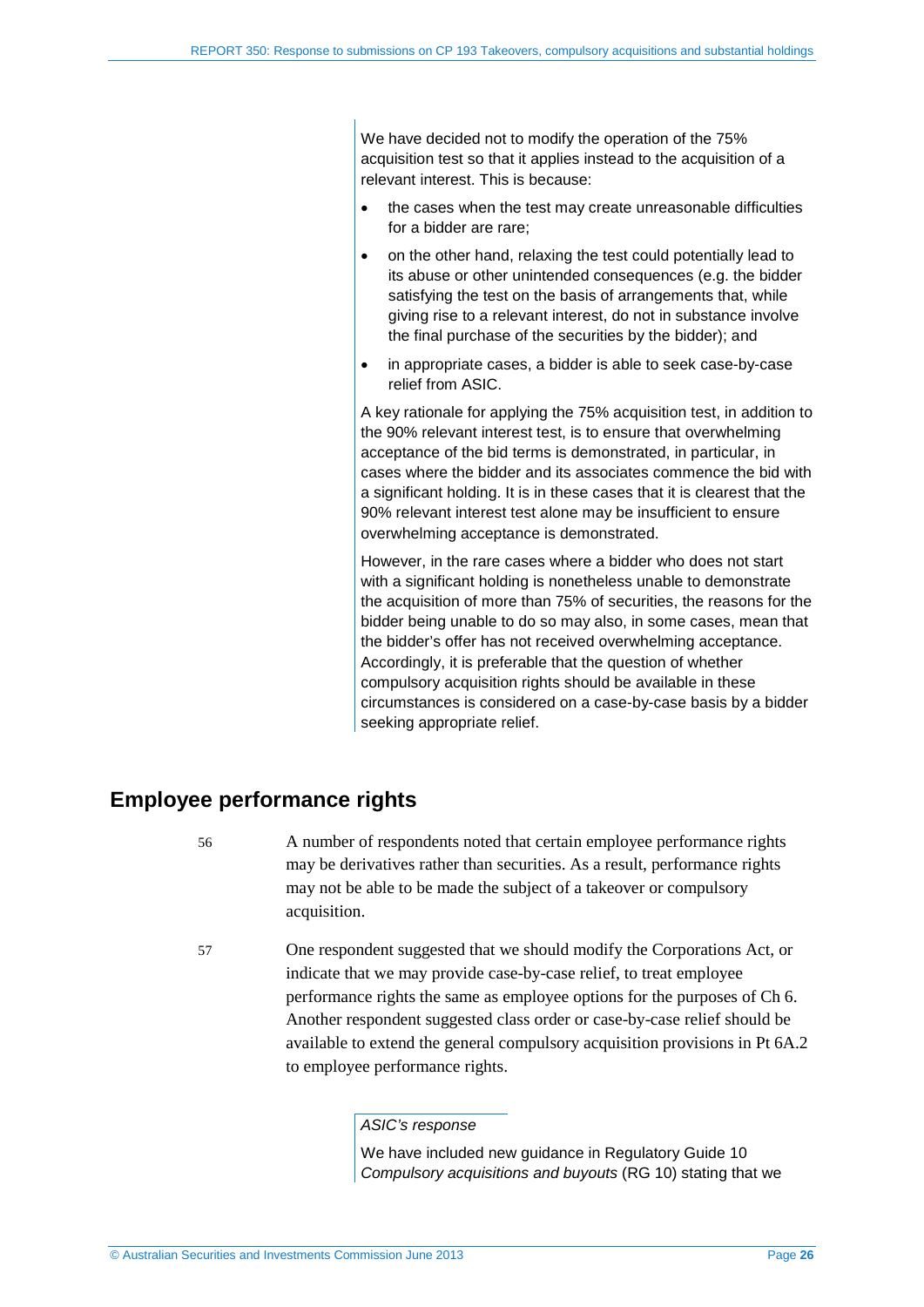We have decided not to modify the operation of the 75% acquisition test so that it applies instead to the acquisition of a relevant interest. This is because:

- the cases when the test may create unreasonable difficulties for a bidder are rare;
- on the other hand, relaxing the test could potentially lead to its abuse or other unintended consequences (e.g. the bidder satisfying the test on the basis of arrangements that, while giving rise to a relevant interest, do not in substance involve the final purchase of the securities by the bidder); and
- in appropriate cases, a bidder is able to seek case-by-case relief from ASIC.

A key rationale for applying the 75% acquisition test, in addition to the 90% relevant interest test, is to ensure that overwhelming acceptance of the bid terms is demonstrated, in particular, in cases where the bidder and its associates commence the bid with a significant holding. It is in these cases that it is clearest that the 90% relevant interest test alone may be insufficient to ensure overwhelming acceptance is demonstrated.

However, in the rare cases where a bidder who does not start with a significant holding is nonetheless unable to demonstrate the acquisition of more than 75% of securities, the reasons for the bidder being unable to do so may also, in some cases, mean that the bidder's offer has not received overwhelming acceptance. Accordingly, it is preferable that the question of whether compulsory acquisition rights should be available in these circumstances is considered on a case-by-case basis by a bidder seeking appropriate relief.

## <span id="page-25-0"></span>**Employee performance rights**

- 56 A number of respondents noted that certain employee performance rights may be derivatives rather than securities. As a result, performance rights may not be able to be made the subject of a takeover or compulsory acquisition.
- 57 One respondent suggested that we should modify the Corporations Act, or indicate that we may provide case-by-case relief, to treat employee performance rights the same as employee options for the purposes of Ch 6. Another respondent suggested class order or case-by-case relief should be available to extend the general compulsory acquisition provisions in Pt 6A.2 to employee performance rights.

#### *ASIC's response*

We have included new guidance in Regulatory Guide 10 *Compulsory acquisitions and buyouts* (RG 10) stating that we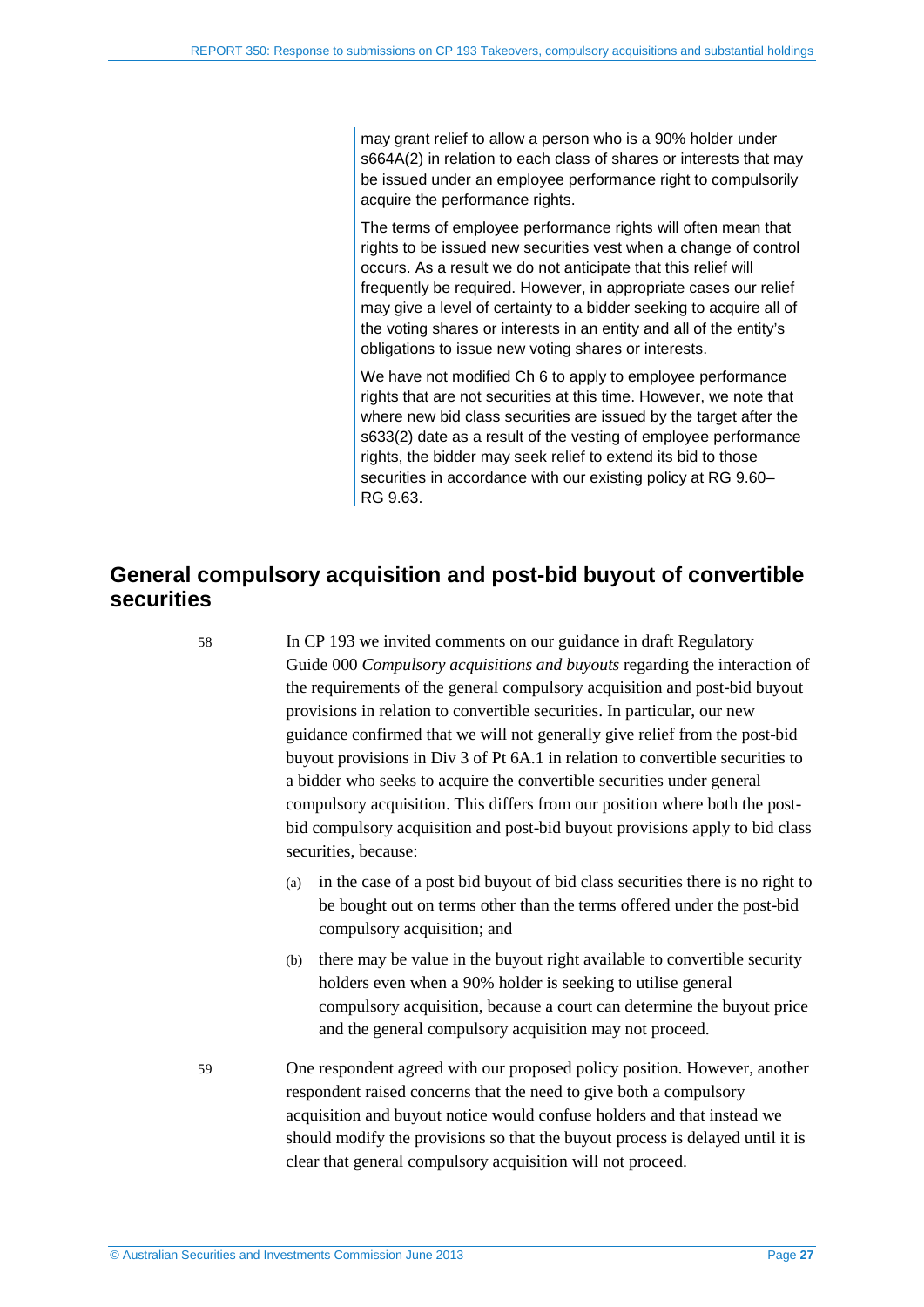may grant relief to allow a person who is a 90% holder under s664A(2) in relation to each class of shares or interests that may be issued under an employee performance right to compulsorily acquire the performance rights.

The terms of employee performance rights will often mean that rights to be issued new securities vest when a change of control occurs. As a result we do not anticipate that this relief will frequently be required. However, in appropriate cases our relief may give a level of certainty to a bidder seeking to acquire all of the voting shares or interests in an entity and all of the entity's obligations to issue new voting shares or interests.

We have not modified Ch 6 to apply to employee performance rights that are not securities at this time. However, we note that where new bid class securities are issued by the target after the s633(2) date as a result of the vesting of employee performance rights, the bidder may seek relief to extend its bid to those securities in accordance with our existing policy at RG 9.60– RG 9.63.

## <span id="page-26-0"></span>**General compulsory acquisition and post-bid buyout of convertible securities**

58 In CP 193 we invited comments on our guidance in draft Regulatory Guide 000 *Compulsory acquisitions and buyouts* regarding the interaction of the requirements of the general compulsory acquisition and post-bid buyout provisions in relation to convertible securities. In particular, our new guidance confirmed that we will not generally give relief from the post-bid buyout provisions in Div 3 of Pt 6A.1 in relation to convertible securities to a bidder who seeks to acquire the convertible securities under general compulsory acquisition. This differs from our position where both the postbid compulsory acquisition and post-bid buyout provisions apply to bid class securities, because:

- (a) in the case of a post bid buyout of bid class securities there is no right to be bought out on terms other than the terms offered under the post-bid compulsory acquisition; and
- (b) there may be value in the buyout right available to convertible security holders even when a 90% holder is seeking to utilise general compulsory acquisition, because a court can determine the buyout price and the general compulsory acquisition may not proceed.

59 One respondent agreed with our proposed policy position. However, another respondent raised concerns that the need to give both a compulsory acquisition and buyout notice would confuse holders and that instead we should modify the provisions so that the buyout process is delayed until it is clear that general compulsory acquisition will not proceed.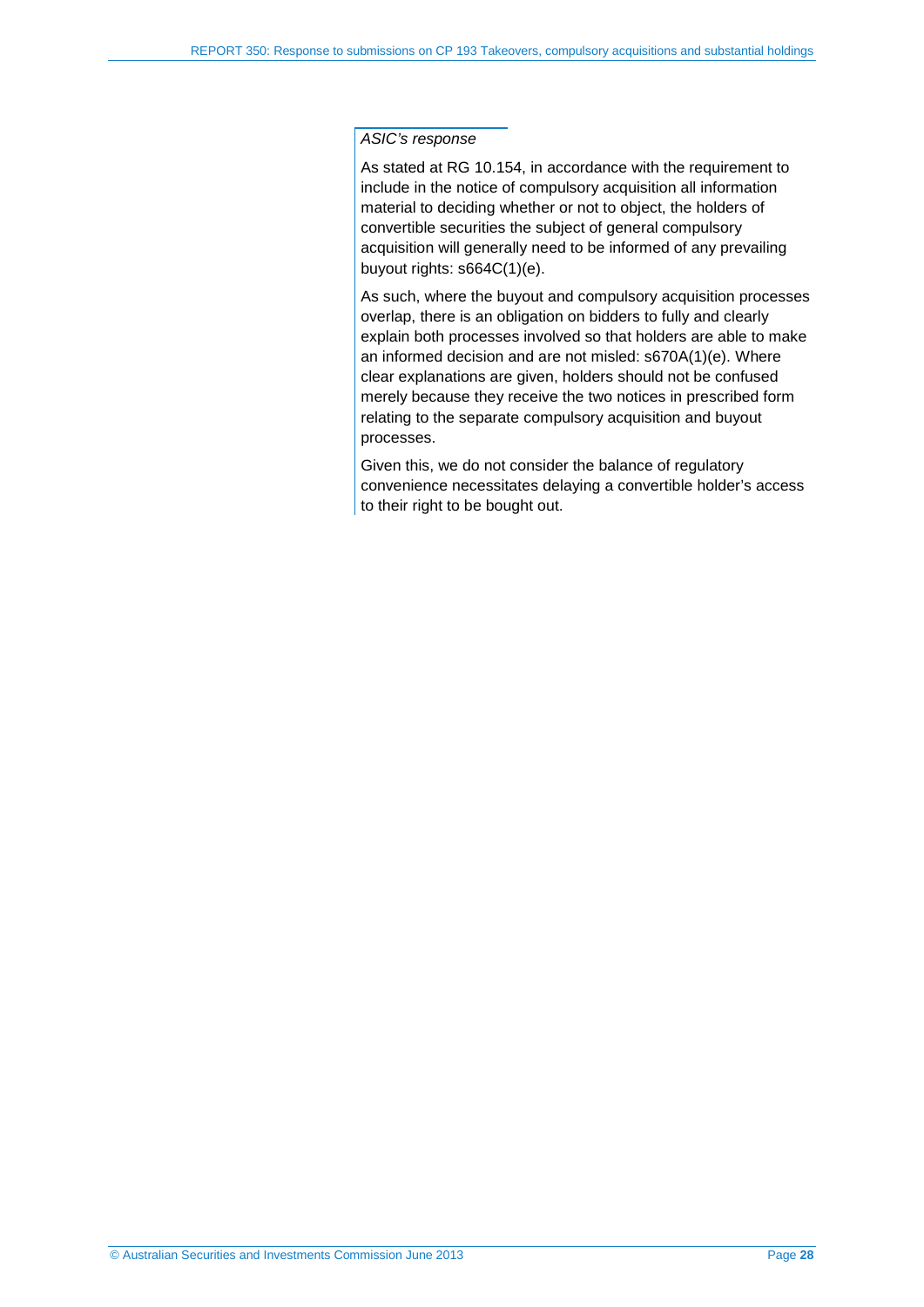#### *ASIC's response*

As stated at RG 10.154, in accordance with the requirement to include in the notice of compulsory acquisition all information material to deciding whether or not to object, the holders of convertible securities the subject of general compulsory acquisition will generally need to be informed of any prevailing buyout rights: s664C(1)(e).

As such, where the buyout and compulsory acquisition processes overlap, there is an obligation on bidders to fully and clearly explain both processes involved so that holders are able to make an informed decision and are not misled: s670A(1)(e). Where clear explanations are given, holders should not be confused merely because they receive the two notices in prescribed form relating to the separate compulsory acquisition and buyout processes.

Given this, we do not consider the balance of regulatory convenience necessitates delaying a convertible holder's access to their right to be bought out.